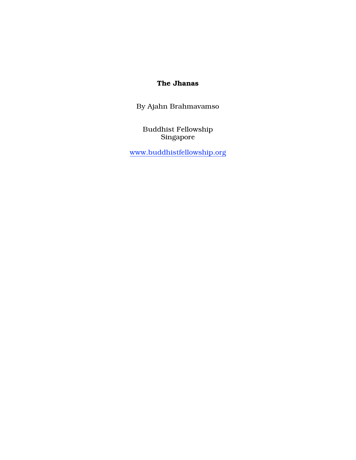# The Jhanas

By Ajahn Brahmavamso

Buddhist Fellowship Singapore

www.buddhistfellowship.org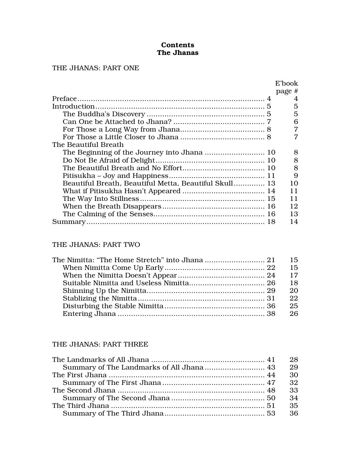# Contents The Jhanas

THE JHANAS: PART ONE

|                                                       | E'book |
|-------------------------------------------------------|--------|
|                                                       | page # |
|                                                       |        |
|                                                       | 5      |
|                                                       | 5      |
|                                                       | 6      |
|                                                       | 7      |
|                                                       | 7      |
| The Beautiful Breath                                  |        |
| The Beginning of the Journey into Jhana  10           | 8      |
|                                                       | 8      |
|                                                       | 8      |
|                                                       | 9      |
| Beautiful Breath, Beautiful Metta, Beautiful Skull 13 | 10     |
|                                                       | 11     |
|                                                       | 11     |
|                                                       | 12     |
|                                                       | 13     |
|                                                       | 14     |

# THE JHANAS: PART TWO

|  | 15 |
|--|----|
|  | 15 |
|  | 17 |
|  | 18 |
|  | 20 |
|  | 22 |
|  | 25 |
|  | 26 |

# THE JHANAS: PART THREE

|  | 28   |
|--|------|
|  | 29   |
|  | 30   |
|  | - 32 |
|  | -33  |
|  | -34  |
|  | - 35 |
|  |      |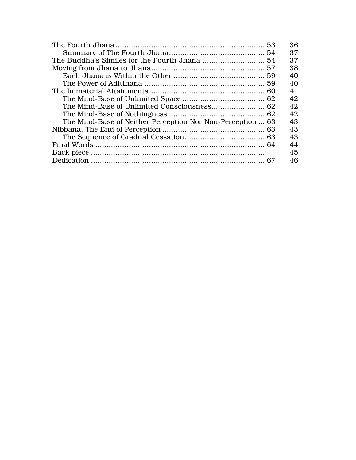|                                                            | 36. |
|------------------------------------------------------------|-----|
|                                                            | 37  |
|                                                            | 37  |
|                                                            | 38. |
|                                                            | 40  |
|                                                            | 40  |
|                                                            | 41  |
|                                                            | 42  |
| The Mind-Base of Unlimited Consciousness 62                | 42  |
|                                                            | 42  |
| The Mind-Base of Neither Perception Nor Non-Perception  63 | 43  |
|                                                            | 43  |
|                                                            | 43  |
|                                                            | 44  |
|                                                            | 45  |
|                                                            | 46  |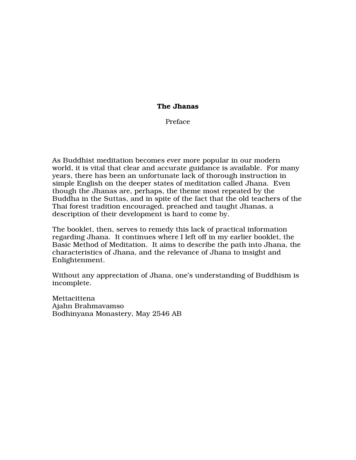# The Jhanas

Preface

As Buddhist meditation becomes ever more popular in our modern world, it is vital that clear and accurate guidance is available. For many years, there has been an unfortunate lack of thorough instruction in simple English on the deeper states of meditation called Jhana. Even though the Jhanas are, perhaps, the theme most repeated by the Buddha in the Suttas, and in spite of the fact that the old teachers of the Thai forest tradition encouraged, preached and taught Jhanas, a description of their development is hard to come by.

The booklet, then, serves to remedy this lack of practical information regarding Jhana. It continues where I left off in my earlier booklet, the Basic Method of Meditation. It aims to describe the path into Jhana, the characteristics of Jhana, and the relevance of Jhana to insight and Enlightenment.

Without any appreciation of Jhana, one's understanding of Buddhism is incomplete.

Mettacittena Ajahn Brahmavamso Bodhinyana Monastery, May 2546 AB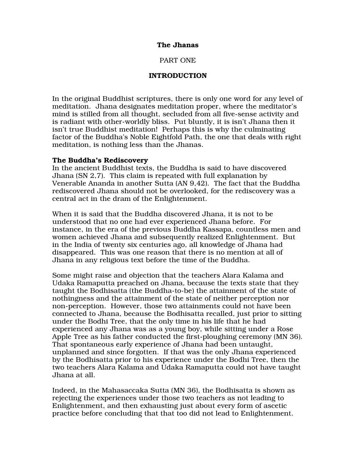# The Jhanas

### PART ONE

### INTRODUCTION

In the original Buddhist scriptures, there is only one word for any level of meditation. Jhana designates meditation proper, where the meditator's mind is stilled from all thought, secluded from all five-sense activity and is radiant with other-worldly bliss. Put bluntly, it is isn't Jhana then it isn't true Buddhist meditation! Perhaps this is why the culminating factor of the Buddha's Noble Eightfold Path, the one that deals with right meditation, is nothing less than the Jhanas.

#### The Buddha's Rediscovery

In the ancient Buddhist texts, the Buddha is said to have discovered Jhana (SN 2,7). This claim is repeated with full explanation by Venerable Ananda in another Sutta (AN 9,42). The fact that the Buddha rediscovered Jhana should not be overlooked, for the rediscovery was a central act in the dram of the Enlightenment.

When it is said that the Buddha discovered Jhana, it is not to be understood that no one had ever experienced Jhana before. For instance, in the era of the previous Buddha Kassapa, countless men and women achieved Jhana and subsequently realized Enlightenment. But in the India of twenty six centuries ago, all knowledge of Jhana had disappeared. This was one reason that there is no mention at all of Jhana in any religious text before the time of the Buddha.

Some might raise and objection that the teachers Alara Kalama and Udaka Ramaputta preached on Jhana, because the texts state that they taught the Bodhisatta (the Buddha-to-be) the attainment of the state of nothingness and the attainment of the state of neither perception nor non-perception. However, those two attainments could not have been connected to Jhana, because the Bodhisatta recalled, just prior to sitting under the Bodhi Tree, that the only time in his life that he had experienced any Jhana was as a young boy, while sitting under a Rose Apple Tree as his father conducted the first-ploughing ceremony (MN 36). That spontaneous early experience of Jhana had been untaught, unplanned and since forgotten. If that was the only Jhana experienced by the Bodhisatta prior to his experience under the Bodhi Tree, then the two teachers Alara Kalama and Udaka Ramaputta could not have taught Jhana at all.

Indeed, in the Mahasaccaka Sutta (MN 36), the Bodhisatta is shown as rejecting the experiences under those two teachers as not leading to Enlightenment, and then exhausting just about every form of ascetic practice before concluding that that too did not lead to Enlightenment.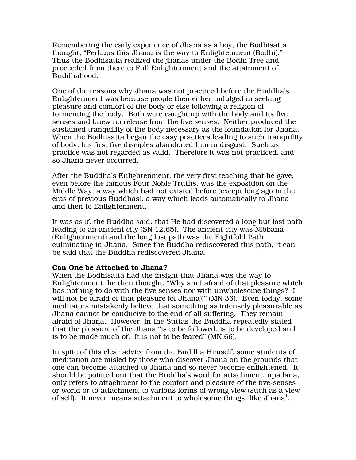Remembering the early experience of Jhana as a boy, the Bodhisatta thought, "Perhaps this Jhana is the way to Enlightenment (Bodhi)." Thus the Bodhisatta realized the jhanas under the Bodhi Tree and proceeded from there to Full Enlightenment and the attainment of Buddhahood.

One of the reasons why Jhana was not practiced before the Buddha's Enlightenment was because people then either indulged in seeking pleasure and comfort of the body or else following a religion of tormenting the body. Both were caught up with the body and its five senses and knew no release from the five senses. Neither produced the sustained tranquility of the body necessary as the foundation for Jhana. When the Bodhisatta began the easy practices leading to such tranquility of body, his first five disciples abandoned him in disgust. Such as practice was not regarded as valid. Therefore it was not practiced, and so Jhana never occurred.

After the Buddha's Enlightenment, the very first teaching that he gave, even before the famous Four Noble Truths, was the exposition on the Middle Way, a way which had not existed before (except long ago in the eras of previous Buddhas), a way which leads automatically to Jhana and then to Enlightenment.

It was as if, the Buddha said, that He had discovered a long but lost path leading to an ancient city (SN 12,65). The ancient city was Nibbana (Enlightenment) and the long lost path was the Eightfold Path culminating in Jhana. Since the Buddha rediscovered this path, it can be said that the Buddha rediscovered Jhana.

# Can One be Attached to Jhana?

When the Bodhisatta had the insight that Jhana was the way to Enlightenment, he then thought, "Why am I afraid of that pleasure which has nothing to do with the five senses nor with unwholesome things? I will not be afraid of that pleasure (of Jhana)!" (MN 36). Even today, some meditators mistakenly believe that something as intensely pleasurable as Jhana cannot be conducive to the end of all suffering. They remain afraid of Jhana. However, in the Suttas the Buddha repeatedly stated that the pleasure of the Jhana "is to be followed, is to be developed and is to be made much of. It is not to be feared" (MN 66).

In spite of this clear advice from the Buddha Himself, some students of meditation are misled by those who discover Jhana on the grounds that one can become attached to Jhana and so never become enlightened. It should be pointed out that the Buddha's word for attachment, upadana, only refers to attachment to the comfort and pleasure of the five-senses or world or to attachment to various forms of wrong view (such as a view of self). It never means attachment to wholesome things, like Jhana $^{\rm l}$ .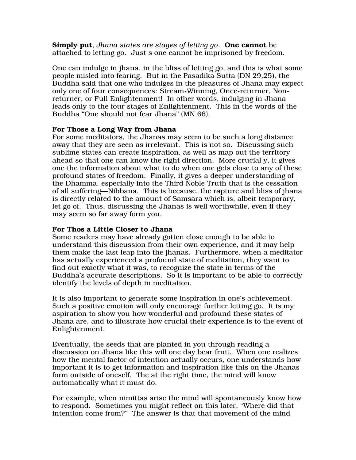Simply put, *Jhana states are stages of letting go*. One cannot be attached to letting go. Just s one cannot be imprisoned by freedom.

One can indulge in jhana, in the bliss of letting go, and this is what some people misled into fearing. But in the Pasadika Sutta (DN 29,25), the Buddha said that one who indulges in the pleasures of Jhana may expect only one of four consequences: Stream-Winning, Once-returner, Nonreturner, or Full Enlightenment! In other words, indulging in Jhana leads only to the four stages of Enlightenment. This in the words of the Buddha "One should not fear Jhana" (MN 66).

# For Those a Long Way from Jhana

For some meditators, the Jhanas may seem to be such a long distance away that they are seen as irrelevant. This is not so. Discussing such sublime states can create inspiration, as well as map out the territory ahead so that one can know the right direction. More crucial y, it gives one the information about what to do when one gets close to any of these profound states of freedom. Finally, it gives a deeper understanding of the Dhamma, especially into the Third Noble Truth that is the cessation of all suffering—Nibbana. This is because, the rapture and bliss of jhana is directly related to the amount of Samsara which is, albeit temporary, let go of. Thus, discussing the Jhanas is well worthwhile, even if they may seem so far away form you.

### For Thos a Little Closer to Jhana

Some readers may have already gotten close enough to be able to understand this discussion from their own experience, and it may help them make the last leap into the jhanas. Furthermore, when a meditator has actually experienced a profound state of meditation, they want to find out exactly what it was, to recognize the state in terms of the Buddha's accurate descriptions. So it is important to be able to correctly identify the levels of depth in meditation.

It is also important to generate some inspiration in one's achievement. Such a positive emotion will only encourage further letting go. It is my aspiration to show you how wonderful and profound these states of Jhana are, and to illustrate how crucial their experience is to the event of Enlightenment.

Eventually, the seeds that are planted in you through reading a discussion on Jhana like this will one day bear fruit. When one realizes how the mental factor of intention actually occurs, one understands how important it is to get information and inspiration like this on the Jhanas form outside of oneself. The at the right time, the mind will know automatically what it must do.

For example, when nimittas arise the mind will spontaneously know how to respond. Sometimes you might reflect on this later, "Where did that intention come from?" The answer is that that movement of the mind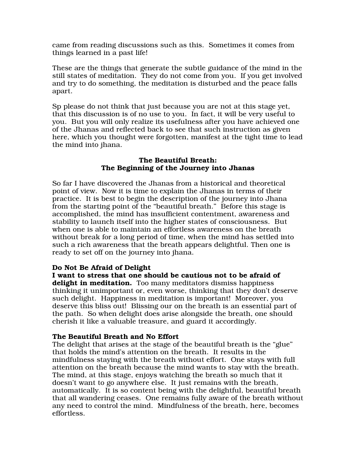came from reading discussions such as this. Sometimes it comes from things learned in a past life!

These are the things that generate the subtle guidance of the mind in the still states of meditation. They do not come from you. If you get involved and try to do something, the meditation is disturbed and the peace falls apart.

Sp please do not think that just because you are not at this stage yet, that this discussion is of no use to you. In fact, it will be very useful to you. But you will only realize its usefulness after you have achieved one of the Jhanas and reflected back to see that such instruction as given here, which you thought were forgotten, manifest at the tight time to lead the mind into jhana.

# The Beautiful Breath: The Beginning of the Journey into Jhanas

So far I have discovered the Jhanas from a historical and theoretical point of view. Now it is time to explain the Jhanas in terms of their practice. It is best to begin the description of the journey into Jhana from the starting point of the "beautiful breath." Before this stage is accomplished, the mind has insufficient contentment, awareness and stability to launch itself into the higher states of consciousness. But when one is able to maintain an effortless awareness on the breath without break for a long period of time, when the mind has settled into such a rich awareness that the breath appears delightful. Then one is ready to set off on the journey into jhana.

# Do Not Be Afraid of Delight

I want to stress that one should be cautious not to be afraid of delight in meditation. Too many meditators dismiss happiness thinking it unimportant or, even worse, thinking that they don't deserve such delight. Happiness in meditation is important! Moreover, you deserve this bliss out! Blissing our on the breath is an essential part of the path. So when delight does arise alongside the breath, one should cherish it like a valuable treasure, and guard it accordingly.

# The Beautiful Breath and No Effort

The delight that arises at the stage of the beautiful breath is the "glue" that holds the mind's attention on the breath. It results in the mindfulness staying with the breath without effort. One stays with full attention on the breath because the mind wants to stay with the breath. The mind, at this stage, enjoys watching the breath so much that it doesn't want to go anywhere else. It just remains with the breath, automatically. It is so content being with the delightful, beautiful breath that all wandering ceases. One remains fully aware of the breath without any need to control the mind. Mindfulness of the breath, here, becomes effortless.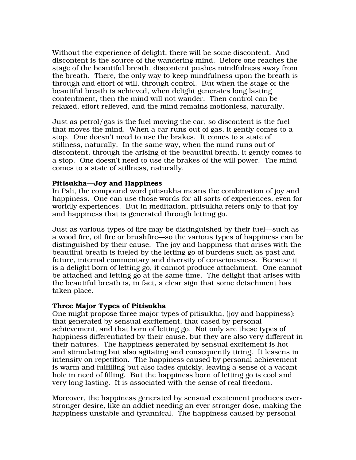Without the experience of delight, there will be some discontent. And discontent is the source of the wandering mind. Before one reaches the stage of the beautiful breath, discontent pushes mindfulness away from the breath. There, the only way to keep mindfulness upon the breath is through and effort of will, through control. But when the stage of the beautiful breath is achieved, when delight generates long lasting contentment, then the mind will not wander. Then control can be relaxed, effort relieved, and the mind remains motionless, naturally.

Just as petrol/gas is the fuel moving the car, so discontent is the fuel that moves the mind. When a car runs out of gas, it gently comes to a stop. One doesn't need to use the brakes. It comes to a state of stillness, naturally. In the same way, when the mind runs out of discontent, through the arising of the beautiful breath, it gently comes to a stop. One doesn't need to use the brakes of the will power. The mind comes to a state of stillness, naturally.

### Pitisukha—Joy and Happiness

In Pali, the compound word pitisukha means the combination of joy and happiness. One can use those words for all sorts of experiences, even for worldly experiences. But in meditation, pitisukha refers only to that joy and happiness that is generated through letting go.

Just as various types of fire may be distinguished by their fuel—such as a wood fire, oil fire or brushfire—so the various types of happiness can be distinguished by their cause. The joy and happiness that arises with the beautiful breath is fueled by the letting go of burdens such as past and future, internal commentary and diversity of consciousness. Because it is a delight born of letting go, it cannot produce attachment. One cannot be attached and letting go at the same time. The delight that arises with the beautiful breath is, in fact, a clear sign that some detachment has taken place.

#### Three Major Types of Pitisukha

One might propose three major types of pitisukha, (joy and happiness): that generated by sensual excitement, that cased by personal achievement, and that born of letting go. Not only are these types of happiness differentiated by their cause, but they are also very different in their natures. The happiness generated by sensual excitement is hot and stimulating but also agitating and consequently tiring. It lessens in intensity on repetition. The happiness caused by personal achievement is warm and fulfilling but also fades quickly, leaving a sense of a vacant hole in need of filling. But the happiness born of letting go is cool and very long lasting. It is associated with the sense of real freedom.

Moreover, the happiness generated by sensual excitement produces everstronger desire, like an addict needing an ever stronger dose, making the happiness unstable and tyrannical. The happiness caused by personal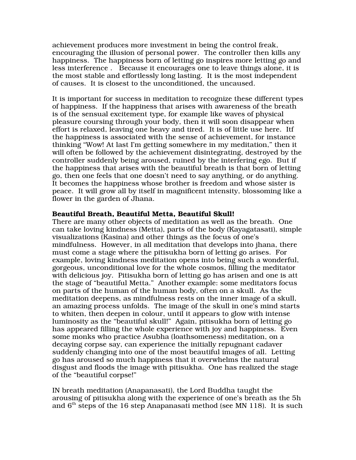achievement produces more investment in being the control freak, encouraging the illusion of personal power. The controller then kills any happiness. The happiness born of letting go inspires more letting go and less interference . Because it encourages one to leave things alone, it is the most stable and effortlessly long lasting. It is the most independent of causes. It is closest to the unconditioned, the uncaused.

It is important for success in meditation to recognize these different types of happiness. If the happiness that arises with awareness of the breath is of the sensual excitement type, for example like waves of physical pleasure coursing through your body, then it will soon disappear when effort is relaxed, leaving one heavy and tired. It is of little use here. Itf the happiness is associated with the sense of achievement, for instance thinking "Wow! At last I'm getting somewhere in my meditation," then it will often be followed by the achievement disintegrating, destroyed by the controller suddenly being aroused, ruined by the interfering ego. But if the happiness that arises with the beautiful breath is that born of letting go, then one feels that one doesn't need to say anything, or do anything. It becomes the happiness whose brother is freedom and whose sister is peace. It will grow all by itself in magnificent intensity, blossoming like a flower in the garden of Jhana.

# Beautiful Breath, Beautiful Metta, Beautiful Skull!

There are many other objects of meditation as well as the breath. One can take loving kindness (Metta), parts of the body (Kayagatasati), simple visualizations (Kasina) and other things as the focus of one's mindfulness. However, in all meditation that develops into jhana, there must come a stage where the pitisukha born of letting go arises. For example, loving kindness meditation opens into being such a wonderful, gorgeous, unconditional love for the whole cosmos, filling the meditator with delicious joy. Pitisukha born of letting go has arisen and one is att the stage of "beautiful Metta." Another example: some meditators focus on parts of the human of the human body, often on a skull. As the meditation deepens, as mindfulness rests on the inner image of a skull, an amazing process unfolds. The image of the skull in one's mind starts to whiten, then deepen in colour, until it appears to glow with intense luminosity as the "beautiful skull!" Again, pitisukha born of letting go has appeared filling the whole experience with joy and happiness. Even some monks who practice Asubha (loathsomeness) meditation, on a decaying corpse say, can experience the initially repugnant cadaver suddenly changing into one of the most beautiful images of all. Letting go has aroused so much happiness that it overwhelms the natural disgust and floods the image with pitisukha. One has realized the stage of the "beautiful corpse!"

IN breath meditation (Anapanasati), the Lord Buddha taught the arousing of pitisukha along with the experience of one's breath as the 5h and  $6<sup>th</sup>$  steps of the 16 step Anapanasati method (see MN 118). It is such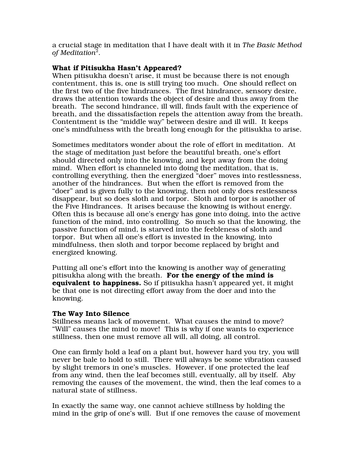a crucial stage in meditation that I have dealt with it in *The Basic Method of Meditation*<sup>2</sup> .

# What if Pitisukha Hasn't Appeared?

When pitisukha doesn't arise, it must be because there is not enough contentment, this is, one is still trying too much. One should reflect on the first two of the five hindrances. The first hindrance, sensory desire, draws the attention towards the object of desire and thus away from the breath. The second hindrance, ill will, finds fault with the experience of breath, and the dissatisfaction repels the attention away from the breath. Contentment is the "middle way" between desire and ill will. It keeps one's mindfulness with the breath long enough for the pitisukha to arise.

Sometimes meditators wonder about the role of effort in meditation. At the stage of meditation just before the beautiful breath, one's effort should directed only into the knowing, and kept away from the doing mind. When effort is channeled into doing the meditation, that is, controlling everything, then the energized "doer" moves into restlessness, another of the hindrances. But when the effort is removed from the "doer" and is given fully to the knowing, then not only does restlessness disappear, but so does sloth and torpor. Sloth and torpor is another of the Five Hindrances. It arises because the knowing is without energy. Often this is because all one's energy has gone into doing, into the active function of the mind, into controlling. So much so that the knowing, the passive function of mind, is starved into the feebleness of sloth and torpor. But when all one's effort is invested in the knowing, into mindfulness, then sloth and torpor become replaced by bright and energized knowing.

Putting all one's effort into the knowing is another way of generating pitisukha along with the breath. For the energy of the mind is **equivalent to happiness.** So if pitisukha hasn't appeared yet, it might be that one is not directing effort away from the doer and into the knowing.

# The Way Into Silence

Stillness means lack of movement. What causes the mind to move? "Will" causes the mind to move! This is why if one wants to experience stillness, then one must remove all will, all doing, all control.

One can firmly hold a leaf on a plant but, however hard you try, you will never be bale to hold to still. There will always be some vibration caused by slight tremors in one's muscles. However, if one protected the leaf from any wind, then the leaf becomes still, eventually, all by itself. Aby removing the causes of the movement, the wind, then the leaf comes to a natural state of stillness.

In exactly the same way, one cannot achieve stillness by holding the mind in the grip of one's will. But if one removes the cause of movement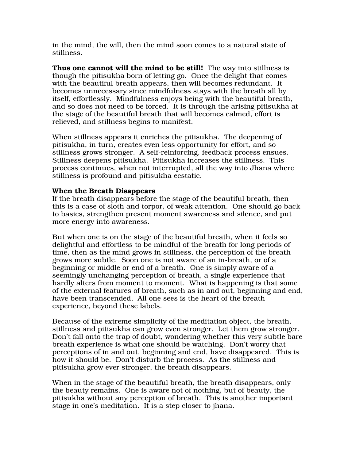in the mind, the will, then the mind soon comes to a natural state of stillness.

Thus one cannot will the mind to be still! The way into stillness is though the pitisukha born of letting go. Once the delight that comes with the beautiful breath appears, then will becomes redundant. It becomes unnecessary since mindfulness stays with the breath all by itself, effortlessly. Mindfulness enjoys being with the beautiful breath, and so does not need to be forced. It is through the arising pitisukha at the stage of the beautiful breath that will becomes calmed, effort is relieved, and stillness begins to manifest.

When stillness appears it enriches the pitisukha. The deepening of pitisukha, in turn, creates even less opportunity for effort, and so stillness grows stronger. A self-reinforcing, feedback process ensues. Stillness deepens pitisukha. Pitisukha increases the stillness. This process continues, when not interrupted, all the way into Jhana where stillness is profound and pitisukha ecstatic.

# When the Breath Disappears

If the breath disappears before the stage of the beautiful breath, then this is a case of sloth and torpor, of weak attention. One should go back to basics, strengthen present moment awareness and silence, and put more energy into awareness.

But when one is on the stage of the beautiful breath, when it feels so delightful and effortless to be mindful of the breath for long periods of time, then as the mind grows in stillness, the perception of the breath grows more subtle. Soon one is not aware of an in-breath, or of a beginning or middle or end of a breath. One is simply aware of a seemingly unchanging perception of breath, a single experience that hardly alters from moment to moment. What is happening is that some of the external features of breath, such as in and out, beginning and end, have been transcended, All one sees is the heart of the breath experience, beyond these labels.

Because of the extreme simplicity of the meditation object, the breath, stillness and pitisukha can grow even stronger. Let them grow stronger. Don't fall onto the trap of doubt, wondering whether this very subtle bare breath experience is what one should be watching. Don't worry that perceptions of in and out, beginning and end, have disappeared. This is how it should be. Don't disturb the process. As the stillness and pitisukha grow ever stronger, the breath disappears.

When in the stage of the beautiful breath, the breath disappears, only the beauty remains. One is aware not of nothing, but of beauty, the pitisukha without any perception of breath. This is another important stage in one's meditation. It is a step closer to jhana.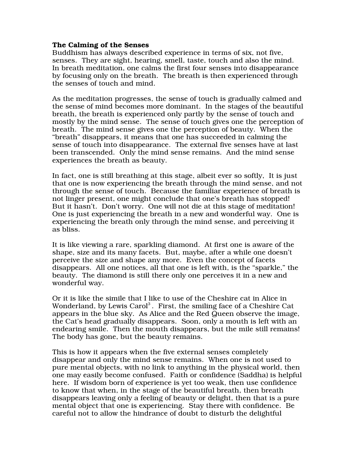## The Calming of the Senses

Buddhism has always described experience in terms of six, not five, senses. They are sight, hearing, smell, taste, touch and also the mind. In breath meditation, one calms the first four senses into disappearance by focusing only on the breath. The breath is then experienced through the senses of touch and mind.

As the meditation progresses, the sense of touch is gradually calmed and the sense of mind becomes more dominant. In the stages of the beautiful breath, the breath is experienced only partly by the sense of touch and mostly by the mind sense. The sense of touch gives one the perception of breath. The mind sense gives one the perception of beauty. When the "breath" disappears, it means that one has succeeded in calming the sense of touch into disappearance. The external five senses have at last been transcended. Only the mind sense remains. And the mind sense experiences the breath as beauty.

In fact, one is still breathing at this stage, albeit ever so softly, It is just that one is now experiencing the breath through the mind sense, and not through the sense of touch. Because the familiar experience of breath is not linger present, one might conclude that one's breath has stopped! But it hasn't. Don't worry. One will not die at this stage of meditation! One is just experiencing the breath in a new and wonderful way. One is experiencing the breath only through the mind sense, and perceiving it as bliss.

It is like viewing a rare, sparkling diamond. At first one is aware of the shape, size and its many facets. But, maybe, after a while one doesn't perceive the size and shape any more. Even the concept of facets disappears. All one notices, all that one is left with, is the "sparkle," the beauty. The diamond is still there only one perceives it in a new and wonderful way.

Or it is like the simile that I like to use of the Cheshire cat in Alice in Wonderland, by Lewis Carol<sup>3</sup>. First, the smiling face of a Cheshire Cat appears in the blue sky. As Alice and the Red Queen observe the image, the Cat's head gradually disappears. Soon, only a mouth is left with an endearing smile. Then the mouth disappears, but the mile still remains! The body has gone, but the beauty remains.

This is how it appears when the five external senses completely disappear and only the mind sense remains. When one is not used to pure mental objects, with no link to anything in the physical world, then one may easily become confused. Faith or confidence (Saddha) is helpful here. If wisdom born of experience is yet too weak, then use confidence to know that when, in the stage of the beautiful breath, then breath disappears leaving only a feeling of beauty or delight, then that is a pure mental object that one is experiencing. Stay there with confidence. Be careful not to allow the hindrance of doubt to disturb the delightful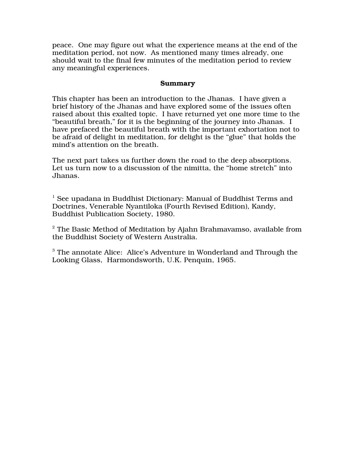peace. One may figure out what the experience means at the end of the meditation period, not now. As mentioned many times already, one should wait to the final few minutes of the meditation period to review any meaningful experiences.

#### Summary

This chapter has been an introduction to the Jhanas. I have given a brief history of the Jhanas and have explored some of the issues often raised about this exalted topic. I have returned yet one more time to the "beautiful breath," for it is the beginning of the journey into Jhanas. I have prefaced the beautiful breath with the important exhortation not to be afraid of delight in meditation, for delight is the "glue" that holds the mind's attention on the breath.

The next part takes us further down the road to the deep absorptions. Let us turn now to a discussion of the nimitta, the "home stretch" into Jhanas.

1 See upadana in Buddhist Dictionary: Manual of Buddhist Terms and Doctrines, Venerable Nyantiloka (Fourth Revised Edition), Kandy, Buddhist Publication Society, 1980.

 $^{\rm 2}$  The Basic Method of Meditation by Ajahn Brahmavamso, available from the Buddhist Society of Western Australia.

 $^{\rm 3}$  The annotate Alice:  $\,$  Alice's Adventure in Wonderland and Through the Looking Glass, Harmondsworth, U.K. Penquin, 1965.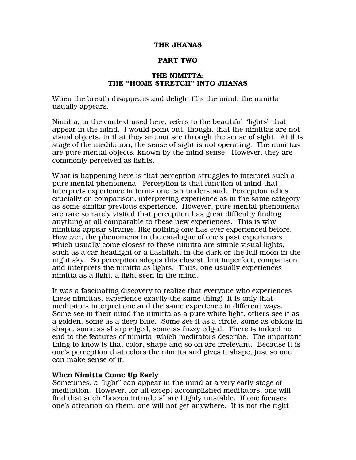### THE JHANAS

## PART TWO

#### THE NIMITTA: THE "HOME STRETCH" INTO JHANAS

When the breath disappears and delight fills the mind, the nimitta usually appears.

Nimitta, in the context used here, refers to the beautiful "lights" that appear in the mind. I would point out, though, that the nimittas are not visual objects, in that they are not see through the sense of sight. At this stage of the meditation, the sense of sight is not operating. The nimittas are pure mental objects, known by the mind sense. However, they are commonly perceived as lights.

What is happening here is that perception struggles to interpret such a pure mental phenomena. Perception is that function of mind that interprets experience in terms one can understand. Perception relies crucially on comparison, interpreting experience as in the same category as some similar previous experience. However, pure mental phenomena are rare so rarely visited that perception has great difficulty finding anything at all comparable to these new experiences. This is why nimittas appear strange, like nothing one has ever experienced before. However, the phenomena in the catalogue of one's past experiences which usually come closest to these nimitta are simple visual lights, such as a car headlight or a flashlight in the dark or the full moon in the night sky. So perception adopts this closest, but imperfect, comparison and interprets the nimitta as lights. Thus, one usually experiences nimitta as a light, a light seen in the mind.

It was a fascinating discovery to realize that everyone who experiences these nimittas, experience exactly the same thing! It is only that meditators interpret one and the same experience in different ways. Some see in their mind the nimitta as a pure white light, others see it as a golden, some as a deep blue. Some see it as a circle, some as oblong in shape, some as sharp edged, some as fuzzy edged. There is indeed no end to the features of nimitta, which meditators describe. The important thing to know is that color, shape and so on are irrelevant. Because it is one's perception that colors the nimitta and gives it shape, just so one can make sense of it.

### When Nimitta Come Up Early

Sometimes, a "light" can appear in the mind at a very early stage of meditation. However, for all except accomplished meditators, one will find that such "brazen intruders" are highly unstable. If one focuses one's attention on them, one will not get anywhere. It is not the right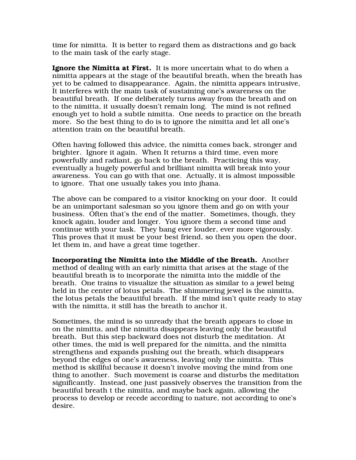time for nimitta. It is better to regard them as distractions and go back to the main task of the early stage.

Ignore the Nimitta at First. It is more uncertain what to do when a nimitta appears at the stage of the beautiful breath, when the breath has yet to be calmed to disappearance. Again, the nimitta appears intrusive, It interferes with the main task of sustaining one's awareness on the beautiful breath. If one deliberately turns away from the breath and on to the nimitta, it usually doesn't remain long. The mind is not refined enough yet to hold a subtle nimitta. One needs to practice on the breath more. So the best thing to do is to ignore the nimitta and let all one's attention train on the beautiful breath.

Often having followed this advice, the nimitta comes back, stronger and brighter. Ignore it again. When It returns a third time, even more powerfully and radiant, go back to the breath. Practicing this way, eventually a hugely powerful and brilliant nimitta will break into your awareness. You can go with that one. Actually, it is almost impossible to ignore. That one usually takes you into jhana.

The above can be compared to a visitor knocking on your door. It could be an unimportant salesman so you ignore them and go on with your business. Often that's the end of the matter. Sometimes, though, they knock again, louder and longer. You ignore them a second time and continue with your task. They bang ever louder, ever more vigorously. This proves that it must be your best friend, so then you open the door, let them in, and have a great time together.

Incorporating the Nimitta into the Middle of the Breath. Another method of dealing with an early nimitta that arises at the stage of the beautiful breath is to incorporate the nimitta into the middle of the breath. One trains to visualize the situation as similar to a jewel being held in the center of lotus petals. The shimmering jewel is the nimitta, the lotus petals the beautiful breath. If the mind isn't quite ready to stay with the nimitta, it still has the breath to anchor it.

Sometimes, the mind is so unready that the breath appears to close in on the nimitta, and the nimitta disappears leaving only the beautiful breath. But this step backward does not disturb the meditation. At other times, the mid is well prepared for the nimitta, and the nimitta strengthens and expands pushing out the breath, which disappears beyond the edges of one's awareness, leaving only the nimitta. This method is skillful because it doesn't involve moving the mind from one thing to another. Such movement is coarse and disturbs the meditation significantly. Instead, one just passively observes the transition from the beautiful breath t the nimitta, and maybe back again, allowing the process to develop or recede according to nature, not according to one's desire.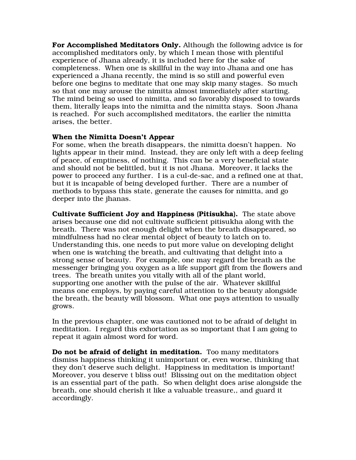For Accomplished Meditators Only. Although the following advice is for accomplished meditators only, by which I mean those with plentiful experience of Jhana already, it is included here for the sake of completeness. When one is skillful in the way into Jhana and one has experienced a Jhana recently, the mind is so still and powerful even before one begins to meditate that one may skip many stages. So much so that one may arouse the nimitta almost immediately after starting. The mind being so used to nimitta, and so favorably disposed to towards them, literally leaps into the nimitta and the nimitta stays. Soon Jhana is reached. For such accomplished meditators, the earlier the nimitta arises, the better.

# When the Nimitta Doesn't Appear

For some, when the breath disappears, the nimitta doesn't happen. No lights appear in their mind. Instead, they are only left with a deep feeling of peace, of emptiness, of nothing. This can be a very beneficial state and should not be belittled, but it is not Jhana. Moreover, it lacks the power to proceed any further. I is a cul-de-sac, and a refined one at that, but it is incapable of being developed further. There are a number of methods to bypass this state, generate the causes for nimitta, and go deeper into the jhanas.

Cultivate Sufficient Joy and Happiness (Pitisukha). The state above arises because one did not cultivate sufficient pitisukha along with the breath. There was not enough delight when the breath disappeared, so mindfulness had no clear mental object of beauty to latch on to. Understanding this, one needs to put more value on developing delight when one is watching the breath, and cultivating that delight into a strong sense of beauty. For example, one may regard the breath as the messenger bringing you oxygen as a life support gift from the flowers and trees. The breath unites you vitally with all of the plant world, supporting one another with the pulse of the air. Whatever skillful means one employs, by paying careful attention to the beauty alongside the breath, the beauty will blossom. What one pays attention to usually grows.

In the previous chapter, one was cautioned not to be afraid of delight in meditation. I regard this exhortation as so important that I am going to repeat it again almost word for word.

Do not be afraid of delight in meditation. Too many meditators dismiss happiness thinking it unimportant or, even worse, thinking that they don't deserve such delight. Happiness in meditation is important! Moreover, you deserve t bliss out! Blissing out on the meditation object is an essential part of the path. So when delight does arise alongside the breath, one should cherish it like a valuable treasure,, and guard it accordingly.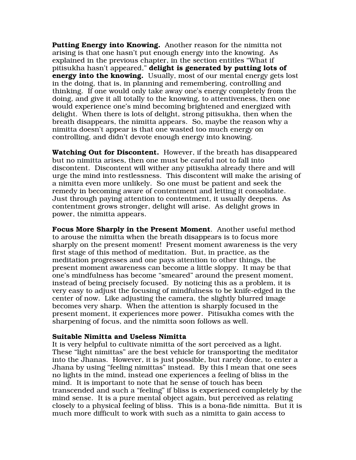Putting Energy into Knowing. Another reason for the nimitta not arising is that one hasn't put enough energy into the knowing. As explained in the previous chapter, in the section entitles "What if pitisukha hasn't appeared," delight is generated by putting lots of **energy into the knowing.** Usually, most of our mental energy gets lost in the doing, that is, in planning and remembering, controlling and thinking. If one would only take away one's energy completely from the doing, and give it all totally to the knowing, to attentiveness, then one would experience one's mind becoming brightened and energized with delight. When there is lots of delight, strong pitisukha, then when the breath disappears, the nimitta appears. So, maybe the reason why a nimitta doesn't appear is that one wasted too much energy on controlling, and didn't devote enough energy into knowing.

**Watching Out for Discontent.** However, if the breath has disappeared but no nimitta arises, then one must be careful not to fall into discontent. Discontent will wither any pitisukha already there and will urge the mind into restlessness. This discontent will make the arising of a nimitta even more unlikely. So one must be patient and seek the remedy in becoming aware of contentment and letting it consolidate. Just through paying attention to contentment, it usually deepens. As contentment grows stronger, delight will arise. As delight grows in power, the nimitta appears.

Focus More Sharply in the Present Moment. Another useful method to arouse the nimitta when the breath disappears is to focus more sharply on the present moment! Present moment awareness is the very first stage of this method of meditation. But, in practice, as the meditation progresses and one pays attention to other things, the present moment awareness can become a little sloppy. It may be that one's mindfulness has become "smeared" around the present moment, instead of being precisely focused. By noticing this as a problem, it is very easy to adjust the focusing of mindfulness to be knife-edged in the center of now. Like adjusting the camera, the slightly blurred image becomes very sharp. When the attention is sharply focused in the present moment, it experiences more power. Pitisukha comes with the sharpening of focus, and the nimitta soon follows as well.

#### Suitable Nimitta and Useless Nimitta

It is very helpful to cultivate nimitta of the sort perceived as a light. These "light nimittas" are the best vehicle for transporting the meditator into the Jhanas. However, it is just possible, but rarely done, to enter a Jhana by using "feeling nimittas" instead. By this I mean that one sees no lights in the mind, instead one experiences a feeling of bliss in the mind. It is important to note that he sense of touch has been transcended and such a "feeling" if bliss is experienced completely by the mind sense. It is a pure mental object again, but perceived as relating closely to a physical feeling of bliss. This is a bona-fide nimitta. But it is much more difficult to work with such as a nimitta to gain access to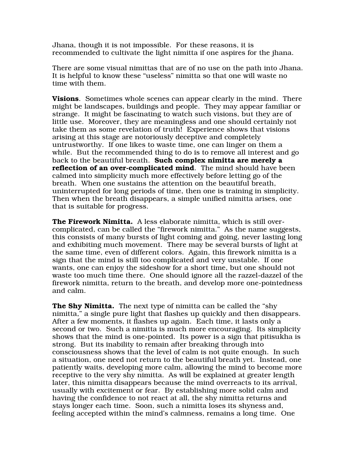Jhana, though it is not impossible. For these reasons, it is recommended to cultivate the light nimitta if one aspires for the jhana.

There are some visual nimittas that are of no use on the path into Jhana. It is helpful to know these "useless" nimitta so that one will waste no time with them.

**Visions.** Sometimes whole scenes can appear clearly in the mind. There might be landscapes, buildings and people. They may appear familiar or strange. It might be fascinating to watch such visions, but they are of little use. Moreover, they are meaningless and one should certainly not take them as some revelation of truth! Experience shows that visions arising at this stage are notoriously deceptive and completely untrustworthy. If one likes to waste time, one can linger on them a while. But the recommended thing to do is to remove all interest and go back to the beautiful breath. Such complex nimitta are merely a reflection of an over-complicated mind. The mind should have been calmed into simplicity much more effectively before letting go of the breath. When one sustains the attention on the beautiful breath, uninterrupted for long periods of time, then one is training in simplicity. Then when the breath disappears, a simple unified nimitta arises, one that is suitable for progress.

The Firework Nimitta. A less elaborate nimitta, which is still overcomplicated, can be called the "firework nimitta." As the name suggests, this consists of many bursts of light coming and going, never lasting long and exhibiting much movement. There may be several bursts of light at the same time, even of different colors. Again, this firework nimitta is a sign that the mind is still too complicated and very unstable. If one wants, one can enjoy the sideshow for a short time, but one should not waste too much time there. One should ignore all the razzel-dazzel of the firework nimitta, return to the breath, and develop more one-pointedness and calm.

**The Shy Nimitta.** The next type of nimitta can be called the "shy" nimitta," a single pure light that flashes up quickly and then disappears. After a few moments, it flashes up again. Each time, it lasts only a second or two. Such a nimitta is much more encouraging. Its simplicity shows that the mind is one-pointed. Its power is a sign that pitisukha is strong. But its inability to remain after breaking through into consciousness shows that the level of calm is not quite enough. In such a situation, one need not return to the beautiful breath yet. Instead, one patiently waits, developing more calm, allowing the mind to become more receptive to the very shy nimitta. As will be explained at greater length later, this nimitta disappears because the mind overreacts to its arrival, usually with excitement or fear. By establishing more solid calm and having the confidence to not react at all, the shy nimitta returns and stays longer each time. Soon, such a nimitta loses its shyness and, feeling accepted within the mind's calmness, remains a long time. One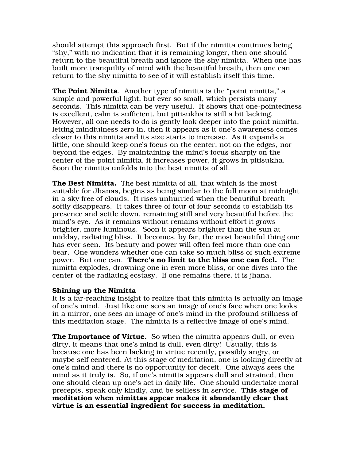should attempt this approach first. But if the nimitta continues being "shy," with no indication that it is remaining longer, then one should return to the beautiful breath and ignore the shy nimitta. When one has built more tranquility of mind with the beautiful breath, then one can return to the shy nimitta to see of it will establish itself this time.

**The Point Nimitta**. Another type of nimitta is the "point nimitta," a simple and powerful light, but ever so small, which persists many seconds. This nimitta can be very useful. It shows that one-pointedness is excellent, calm is sufficient, but pitisukha is still a bit lacking. However, all one needs to do is gently look deeper into the point nimitta, letting mindfulness zero in, then it appears as it one's awareness comes closer to this nimitta and its size starts to increase. As it expands a little, one should keep one's focus on the center, not on the edges, nor beyond the edges. By maintaining the mind's focus sharply on the center of the point nimitta, it increases power, it grows in pitisukha. Soon the nimitta unfolds into the best nimitta of all.

The Best Nimitta. The best nimitta of all, that which is the most suitable for Jhanas, begins as being similar to the full moon at midnight in a sky free of clouds. It rises unhurried when the beautiful breath softly disappears. It takes three of four of four seconds to establish its presence and settle down, remaining still and very beautiful before the mind's eye. As it remains without remains without effort it grows brighter, more luminous. Soon it appears brighter than the sun at midday, radiating bliss. It becomes, by far, the most beautiful thing one has ever seen. Its beauty and power will often feel more than one can bear. One wonders whether one can take so much bliss of such extreme power. But one can. There's no limit to the bliss one can feel. The nimitta explodes, drowning one in even more bliss, or one dives into the center of the radiating ecstasy. If one remains there, it is jhana.

# Shining up the Nimitta

It is a far-reaching insight to realize that this nimitta is actually an image of one's mind. Just like one sees an image of one's face when one looks in a mirror, one sees an image of one's mind in the profound stillness of this meditation stage. The nimitta is a reflective image of one's mind.

The Importance of Virtue. So when the nimitta appears dull, or even dirty, it means that one's mind is dull, even dirty! Usually, this is because one has been lacking in virtue recently, possibly angry, or maybe self centered. At this stage of meditation, one is looking directly at one's mind and there is no opportunity for deceit. One always sees the mind as it truly is. So, if one's nimitta appears dull and strained, then one should clean up one's act in daily life. One should undertake moral precepts, speak only kindly, and be selfless in service. This stage of meditation when nimittas appear makes it abundantly clear that virtue is an essential ingredient for success in meditation.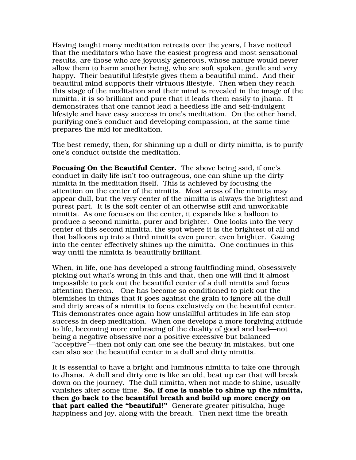Having taught many meditation retreats over the years, I have noticed that the meditators who have the easiest progress and most sensational results, are those who are joyously generous, whose nature would never allow them to harm another being, who are soft spoken, gentle and very happy. Their beautiful lifestyle gives them a beautiful mind. And their beautiful mind supports their virtuous lifestyle. Then when they reach this stage of the meditation and their mind is revealed in the image of the nimitta, it is so brilliant and pure that it leads them easily to jhana. It demonstrates that one cannot lead a heedless life and self-indulgent lifestyle and have easy success in one's meditation. On the other hand, purifying one's conduct and developing compassion, at the same time prepares the mid for meditation.

The best remedy, then, for shinning up a dull or dirty nimitta, is to purify one's conduct outside the meditation.

Focusing On the Beautiful Center. The above being said, if one's conduct in daily life isn't too outrageous, one can shine up the dirty nimitta in the meditation itself. This is achieved by focusing the attention on the center of the nimitta. Most areas of the nimitta may appear dull, but the very center of the nimitta is always the brightest and purest part. It is the soft center of an otherwise stiff and unworkable nimitta. As one focuses on the center, it expands like a balloon to produce a second nimitta, purer and brighter. One looks into the very center of this second nimitta, the spot where it is the brightest of all and that balloons up into a third nimitta even purer, even brighter. Gazing into the center effectively shines up the nimitta. One continues in this way until the nimitta is beautifully brilliant.

When, in life, one has developed a strong faultfinding mind, obsessively picking out what's wrong in this and that, then one will find it almost impossible to pick out the beautiful center of a dull nimitta and focus attention thereon. One has become so conditioned to pick out the blemishes in things that it goes against the grain to ignore all the dull and dirty areas of a nimitta to focus exclusively on the beautiful center. This demonstrates once again how unskillful attitudes in life can stop success in deep meditation. When one develops a more forgiving attitude to life, becoming more embracing of the duality of good and bad—not being a negative obsessive nor a positive excessive but balanced "acceptive"—then not only can one see the beauty in mistakes, but one can also see the beautiful center in a dull and dirty nimitta.

It is essential to have a bright and luminous nimitta to take one through to Jhana. A dull and dirty one is like an old, beat up car that will break down on the journey. The dull nimitta, when not made to shine, usually vanishes after some time. So, if one is unable to shine up the nimitta, then go back to the beautiful breath and build up more energy on that part called the "beautiful!" Generate greater pitisukha, huge happiness and joy, along with the breath. Then next time the breath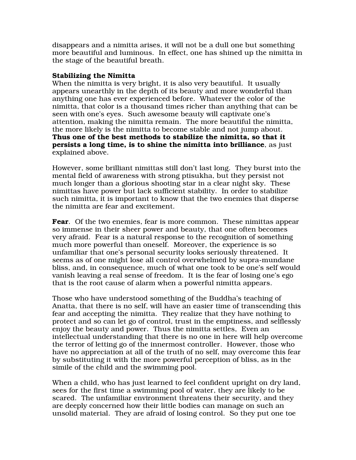disappears and a nimitta arises, it will not be a dull one but something more beautiful and luminous. In effect, one has shined up the nimitta in the stage of the beautiful breath.

# Stabilizing the Nimitta

When the nimitta is very bright, it is also very beautiful. It usually appears unearthly in the depth of its beauty and more wonderful than anything one has ever experienced before. Whatever the color of the nimitta, that color is a thousand times richer than anything that can be seen with one's eyes. Such awesome beauty will captivate one's attention, making the nimitta remain. The more beautiful the nimitta, the more likely is the nimitta to become stable and not jump about. Thus one of the best methods to stabilize the nimitta, so that it persists a long time, is to shine the nimitta into brilliance, as just explained above.

However, some brilliant nimittas still don't last long. They burst into the mental field of awareness with strong ptisukha, but they persist not much longer than a glorious shooting star in a clear night sky. These nimittas have power but lack sufficient stability. In order to stabilize such nimitta, it is important to know that the two enemies that disperse the nimitta are fear and excitement.

**Fear.** Of the two enemies, fear is more common. These nimittas appear so immense in their sheer power and beauty, that one often becomes very afraid. Fear is a natural response to the recognition of something much more powerful than oneself. Moreover, the experience is so unfamiliar that one's personal security looks seriously threatened. It seems as of one might lose all control overwhelmed by supra-mundane bliss, and, in consequence, much of what one took to be one's self would vanish leaving a real sense of freedom. It is the fear of losing one's ego that is the root cause of alarm when a powerful nimitta appears.

Those who have understood something of the Buddha's teaching of Anatta, that there is no self, will have an easier time of transcending this fear and accepting the nimitta. They realize that they have nothing to protect and so can let go of control, trust in the emptiness, and selflessly enjoy the beauty and power. Thus the nimitta settles, Even an intellectual understanding that there is no one in here will help overcome the terror of letting go of the innermost controller. However, those who have no appreciation at all of the truth of no self, may overcome this fear by substituting it with the more powerful perception of bliss, as in the simile of the child and the swimming pool.

When a child, who has just learned to feel confident upright on dry land, sees for the first time a swimming pool of water, they are likely to be scared. The unfamiliar environment threatens their security, and they are deeply concerned how their little bodies can manage on such an unsolid material. They are afraid of losing control. So they put one toe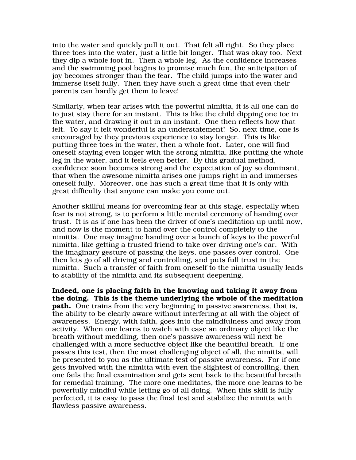into the water and quickly pull it out. That felt all right. So they place three toes into the water, just a little bit longer. That was okay too. Next they dip a whole foot in. Then a whole leg. As the confidence increases and the swimming pool begins to promise much fun, the anticipation of joy becomes stronger than the fear. The child jumps into the water and immerse itself fully. Then they have such a great time that even their parents can hardly get them to leave!

Similarly, when fear arises with the powerful nimitta, it is all one can do to just stay there for an instant. This is like the child dipping one toe in the water, and drawing it out in an instant. One then reflects how that felt. To say it felt wonderful is an understatement! So, next time, one is encouraged by they previous experience to stay longer. This is like putting three toes in the water, then a whole foot. Later, one will find oneself staying even longer with the strong nimitta, like putting the whole leg in the water, and it feels even better. By this gradual method, confidence soon becomes strong and the expectation of joy so dominant, that when the awesome nimitta arises one jumps right in and immerses oneself fully. Moreover, one has such a great time that it is only with great difficulty that anyone can make you come out.

Another skillful means for overcoming fear at this stage, especially when fear is not strong, is to perform a little mental ceremony of handing over trust. It is as if one has been the driver of one's meditation up until now, and now is the moment to hand over the control completely to the nimitta. One may imagine handing over a bunch of keys to the powerful nimitta, like getting a trusted friend to take over driving one's car. With the imaginary gesture of passing the keys, one passes over control. One then lets go of all driving and controlling, and puts full trust in the nimitta. Such a transfer of faith from oneself to the nimitta usually leads to stability of the nimitta and its subsequent deepening.

Indeed, one is placing faith in the knowing and taking it away from the doing. This is the theme underlying the whole of the meditation **path.** One trains from the very beginning in passive awareness, that is, the ability to be clearly aware without interfering at all with the object of awareness. Energy, with faith, goes into the mindfulness and away from activity. When one learns to watch with ease an ordinary object like the breath without meddling, then one's passive awareness will next be challenged with a more seductive object like the beautiful breath. If one passes this test, then the most challenging object of all, the nimitta, will be presented to you as the ultimate test of passive awareness. For if one gets involved with the nimitta with even the slightest of controlling, then one fails the final examination and gets sent back to the beautiful breath for remedial training. The more one meditates, the more one learns to be powerfully mindful while letting go of all doing. When this skill is fully perfected, it is easy to pass the final test and stabilize the nimitta with flawless passive awareness.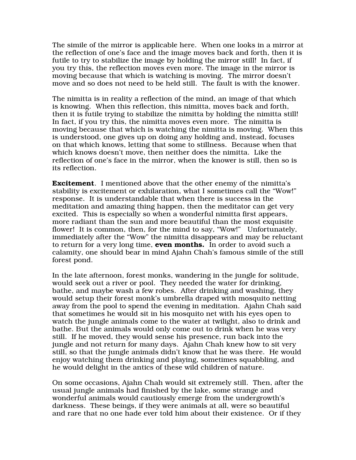The simile of the mirror is applicable here. When one looks in a mirror at the reflection of one's face and the image moves back and forth, then it is futile to try to stabilize the image by holding the mirror still! In fact, if you try this, the reflection moves even more. The image in the mirror is moving because that which is watching is moving. The mirror doesn't move and so does not need to be held still. The fault is with the knower.

The nimitta is in reality a reflection of the mind, an image of that which is knowing. When this reflection, this nimitta, moves back and forth, then it is futile trying to stabilize the nimitta by holding the nimitta still! In fact, if you try this, the nimitta moves even more. The nimitta is moving because that which is watching the nimitta is moving. When this is understood, one gives up on doing any holding and, instead, focuses on that which knows, letting that some to stillness. Because when that which knows doesn't move, then neither does the nimitta. Like the reflection of one's face in the mirror, when the knower is still, then so is its reflection.

**Excitement**. I mentioned above that the other enemy of the nimitta's stability is excitement or exhilaration, what I sometimes call the "Wow!" response. It is understandable that when there is success in the meditation and amazing thing happen, then the meditator can get very excited. This is especially so when a wonderful nimitta first appears, more radiant than the sun and more beautiful than the most exquisite flower! It is common, then, for the mind to say, "Wow!" Unfortunately, immediately after the "Wow" the nimitta disappears and may be reluctant to return for a very long time, even months. In order to avoid such a calamity, one should bear in mind Ajahn Chah's famous simile of the still forest pond.

In the late afternoon, forest monks, wandering in the jungle for solitude, would seek out a river or pool. They needed the water for drinking, bathe, and maybe wash a few robes. After drinking and washing, they would setup their forest monk's umbrella draped with mosquito netting away from the pool to spend the evening in meditation. Ajahn Chah said that sometimes he would sit in his mosquito net with his eyes open to watch the jungle animals come to the water at twilight, also to drink and bathe. But the animals would only come out to drink when he was very still. If he moved, they would sense his presence, run back into the jungle and not return for many days. Ajahn Chah knew how to sit very still, so that the jungle animals didn't know that he was there. He would enjoy watching them drinking and playing, sometimes squabbling, and he would delight in the antics of these wild children of nature.

On some occasions, Ajahn Chah would sit extremely still. Then, after the usual jungle animals had finished by the lake, some strange and wonderful animals would cautiously emerge from the undergrowth's darkness. These beings, if they were animals at all, were so beautiful and rare that no one hade ever told him about their existence. Or if they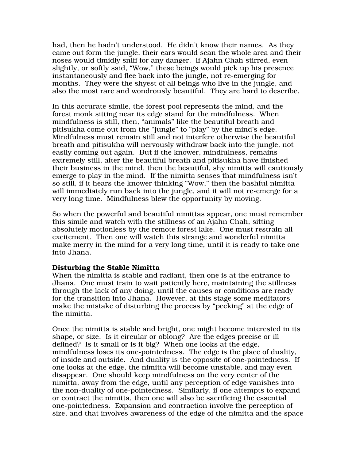had, then he hadn't understood. He didn't know their names, As they came out form the jungle, their ears would scan the whole area and their noses would timidly sniff for any danger. If Ajahn Chah stirred, even slightly, or softly said, "Wow," these beings would pick up his presence instantaneously and flee back into the jungle, not re-emerging for months. They were the shyest of all beings who live in the jungle, and also the most rare and wondrously beautiful. They are hard to describe.

In this accurate simile, the forest pool represents the mind, and the forest monk sitting near its edge stand for the mindfulness. When mindfulness is still, then, "animals" like the beautiful breath and pitisukha come out from the "jungle" to "play" by the mind's edge. Mindfulness must remain still and not interfere otherwise the beautiful breath and pitisukha will nervously withdraw back into the jungle, not easily coming out again. But if the knower, mindfulness, remains extremely still, after the beautiful breath and pitisukha have finished their business in the mind, then the beautiful, shy nimitta will cautiously emerge to play in the mind. If the nimitta senses that mindfulness isn't so still, if it hears the knower thinking "Wow," then the bashful nimitta will immediately run back into the jungle, and it will not re-emerge for a very long time. Mindfulness blew the opportunity by moving.

So when the powerful and beautiful nimittas appear, one must remember this simile and watch with the stillness of an Ajahn Chah, sitting absolutely motionless by the remote forest lake. One must restrain all excitement. Then one will watch this strange and wonderful nimitta make merry in the mind for a very long time, until it is ready to take one into Jhana.

# Disturbing the Stable Nimitta

When the nimitta is stable and radiant, then one is at the entrance to Jhana. One must train to wait patiently here, maintaining the stillness through the lack of any doing, until the causes or conditions are ready for the transition into Jhana. However, at this stage some meditators make the mistake of disturbing the process by "peeking" at the edge of the nimitta.

Once the nimitta is stable and bright, one might become interested in its shape, or size. Is it circular or oblong? Are the edges precise or ill defined? Is it small or is it big? When one looks at the edge, mindfulness loses its one-pointedness. The edge is the place of duality, of inside and outside. And duality is the opposite of one-pointedness. If one looks at the edge, the nimitta will become unstable, and may even disappear. One should keep mindfulness on the very center of the nimitta, away from the edge, until any perception of edge vanishes into the non-duality of one-pointedness. Similarly, if one attempts to expand or contract the nimitta, then one will also be sacrificing the essential one-pointedness. Expansion and contraction involve the perception of size, and that involves awareness of the edge of the nimitta and the space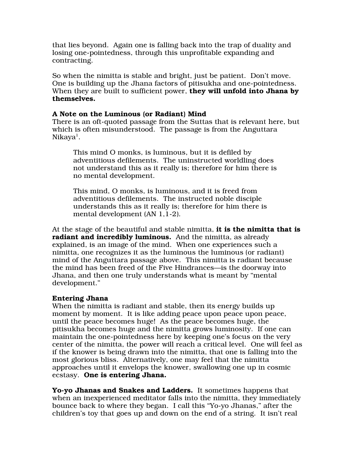that lies beyond. Again one is falling back into the trap of duality and losing one-pointedness, through this unprofitable expanding and contracting.

So when the nimitta is stable and bright, just be patient. Don't move. One is building up the Jhana factors of pitisukha and one-pointedness. When they are built to sufficient power, they will unfold into Jhana by themselves.

# A Note on the Luminous (or Radiant) Mind

There is an oft-quoted passage from the Suttas that is relevant here, but which is often misunderstood. The passage is from the Anguttara Nikaya $^{\rm l}$ .

This mind O monks, is luminous, but it is defiled by adventitious defilements. The uninstructed worldling does not understand this as it really is; therefore for him there is no mental development.

This mind, O monks, is luminous, and it is freed from adventitious defilements. The instructed noble disciple understands this as it really is; therefore for him there is mental development (AN 1,1-2).

At the stage of the beautiful and stable nimitta, **it is the nimitta that is** radiant and incredibly luminous. And the nimitta, as already explained, is an image of the mind. When one experiences such a nimitta, one recognizes it as the luminous the luminous (or radiant) mind of the Anguttara passage above. This nimitta is radiant because the mind has been freed of the Five Hindrances—is the doorway into Jhana, and then one truly understands what is meant by "mental development."

# Entering Jhana

When the nimitta is radiant and stable, then its energy builds up moment by moment. It is like adding peace upon peace upon peace, until the peace becomes huge! As the peace becomes huge, the pitisukha becomes huge and the nimitta grows luminosity. If one can maintain the one-pointedness here by keeping one's focus on the very center of the nimitta, the power will reach a critical level. One will feel as if the knower is being drawn into the nimitta, that one is falling into the most glorious bliss. Alternatively, one may feel that the nimitta approaches until it envelops the knower, swallowing one up in cosmic ecstasy. One is entering Jhana.

Yo-yo Jhanas and Snakes and Ladders. It sometimes happens that when an inexperienced meditator falls into the nimitta, they immediately bounce back to where they began. I call this "Yo-yo Jhanas," after the children's toy that goes up and down on the end of a string. It isn't real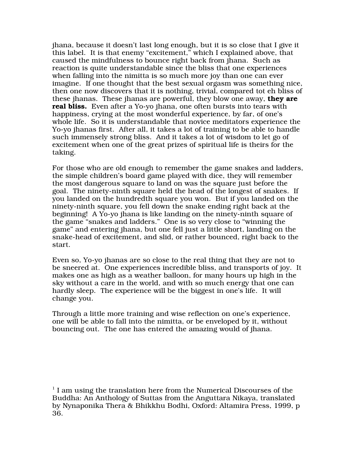jhana, because it doesn't last long enough, but it is so close that I give it this label. It is that enemy "excitement," which I explained above, that caused the mindfulness to bounce right back from jhana. Such as reaction is quite understandable since the bliss that one experiences when falling into the nimitta is so much more joy than one can ever imagine. If one thought that the best sexual orgasm was something nice, then one now discovers that it is nothing, trivial, compared tot eh bliss of these jhanas. These jhanas are powerful, they blow one away, they are **real bliss.** Even after a Yo-yo jhana, one often bursts into tears with happiness, crying at the most wonderful experience, by far, of one's whole life. So it is understandable that novice meditators experience the Yo-yo jhanas first. After all, it takes a lot of training to be able to handle such immensely strong bliss. And it takes a lot of wisdom to let go of excitement when one of the great prizes of spiritual life is theirs for the taking.

For those who are old enough to remember the game snakes and ladders, the simple children's board game played with dice, they will remember the most dangerous square to land on was the square just before the goal. The ninety-ninth square held the head of the longest of snakes. If you landed on the hundredth square you won. But if you landed on the ninety-ninth square, you fell down the snake ending right back at the beginning! A Yo-yo jhana is like landing on the ninety-ninth square of the game "snakes and ladders." One is so very close to "winning the game" and entering jhana, but one fell just a little short, landing on the snake-head of excitement, and slid, or rather bounced, right back to the start.

Even so, Yo-yo jhanas are so close to the real thing that they are not to be sneered at. One experiences incredible bliss, and transports of joy. It makes one as high as a weather balloon, for many hours up high in the sky without a care in the world, and with so much energy that one can hardly sleep. The experience will be the biggest in one's life. It will change you.

Through a little more training and wise reflection on one's experience, one will be able to fall into the nimitta, or be enveloped by it, without bouncing out. The one has entered the amazing would of jhana.

 $^1$  I am using the translation here from the Numerical Discourses of the Buddha: An Anthology of Suttas from the Anguttara Nikaya, translated by Nynaponika Thera & Bhikkhu Bodhi, Oxford: Altamira Press, 1999, p 36.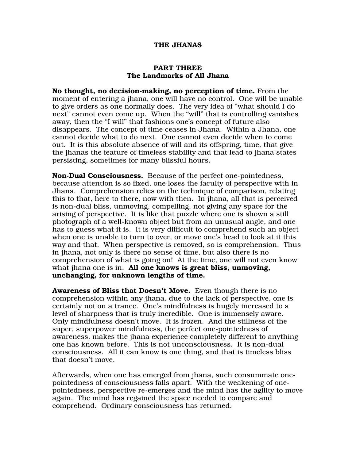### THE JHANAS

### PART THREE The Landmarks of All Jhana

No thought, no decision-making, no perception of time. From the moment of entering a jhana, one will have no control. One will be unable to give orders as one normally does. The very idea of "what should I do next" cannot even come up. When the "will" that is controlling vanishes away, then the "I will" that fashions one's concept of future also disappears. The concept of time ceases in Jhana. Within a Jhana, one cannot decide what to do next. One cannot even decide when to come out. It is this absolute absence of will and its offspring, time, that give the jhanas the feature of timeless stability and that lead to jhana states persisting, sometimes for many blissful hours.

Non-Dual Consciousness. Because of the perfect one-pointedness, because attention is so fixed, one loses the faculty of perspective with in Jhana. Comprehension relies on the technique of comparison, relating this to that, here to there, now with then. In jhana, all that is perceived is non-dual bliss, unmoving, compelling, not giving any space for the arising of perspective. It is like that puzzle where one is shown a still photograph of a well-known object but from an unusual angle, and one has to guess what it is. It is very difficult to comprehend such an object when one is unable to turn to over, or move one's head to look at it this way and that. When perspective is removed, so is comprehension. Thus in jhana, not only is there no sense of time, but also there is no comprehension of what is going on! At the time, one will not even know what jhana one is in. All one knows is great bliss, unmoving, unchanging, for unknown lengths of time.

Awareness of Bliss that Doesn't Move. Even though there is no comprehension within any jhana, due to the lack of perspective, one is certainly not on a trance. One's mindfulness is hugely increased to a level of sharpness that is truly incredible. One is immensely aware. Only mindfulness doesn't move. It is frozen. And the stillness of the super, superpower mindfulness, the perfect one-pointedness of awareness, makes the jhana experience completely different to anything one has known before. This is not unconsciousness. It is non-dual consciousness. All it can know is one thing, and that is timeless bliss that doesn't move.

Afterwards, when one has emerged from jhana, such consummate onepointedness of consciousness falls apart. With the weakening of onepointedness, perspective re-emerges and the mind has the agility to move again. The mind has regained the space needed to compare and comprehend. Ordinary consciousness has returned.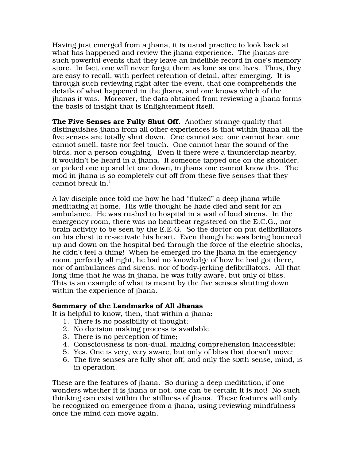Having just emerged from a jhana, it is usual practice to look back at what has happened and review the jhana experience. The jhanas are such powerful events that they leave an indelible record in one's memory store. In fact, one will never forget them as lone as one lives. Thus, they are easy to recall, with perfect retention of detail, after emerging. It is through such reviewing right after the event, that one comprehends the details of what happened in the jhana, and one knows which of the jhanas it was. Moreover, the data obtained from reviewing a jhana forms the basis of insight that is Enlightenment itself.

The Five Senses are Fully Shut Off. Another strange quality that distinguishes jhana from all other experiences is that within jhana all the five senses are totally shut down. One cannot see, one cannot hear, one cannot smell, taste nor feel touch. One cannot hear the sound of the birds, nor a person coughing. Even if there were a thunderclap nearby, it wouldn't be heard in a jhana. If someone tapped one on the shoulder, or picked one up and let one down, in jhana one cannot know this. The mod in jhana is so completely cut off from these five senses that they cannot break in. $<sup>1</sup>$ </sup>

A lay disciple once told me how he had "fluked" a deep jhana while meditating at home. His wife thought he hade died and sent for an ambulance. He was rushed to hospital in a wail of loud sirens. In the emergency room, there was no heartbeat registered on the E.C.G., nor brain activity to be seen by the E.E.G. So the doctor on put defibrillators on his chest to re-activate his heart. Even though he was being bounced up and down on the hospital bed through the force of the electric shocks, he didn't feel a thing! When he emerged fro the jhana in the emergency room, perfectly all right, he had no knowledge of how he had got there, nor of ambulances and sirens, nor of body-jerking defibrillators. All that long time that he was in jhana, he was fully aware, but only of bliss. This is an example of what is meant by the five senses shutting down within the experience of jhana.

# Summary of the Landmarks of All Jhanas

It is helpful to know, then, that within a jhana:

- 1. There is no possibility of thought;
- 2. No decision making process is available
- 3. There is no perception of time;
- 4. Consciousness is non-dual, making comprehension inaccessible;
- 5. Yes. One is very, very aware, but only of bliss that doesn't move;
- 6. The five senses are fully shot off, and only the sixth sense, mind, is in operation.

These are the features of jhana. So during a deep meditation, if one wonders whether it is jhana or not, one can be certain it is not! No such thinking can exist within the stillness of jhana. These features will only be recognized on emergence from a jhana, using reviewing mindfulness once the mind can move again.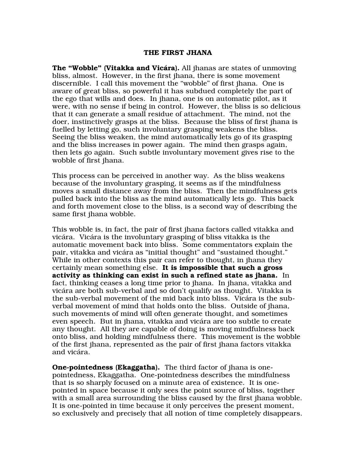### THE FIRST JHANA

**The "Wobble" (Vitakka and Vicára).** All jhanas are states of unmoving bliss, almost. However, in the first jhana, there is some movement discernible. I call this movement the "wobble" of first jhana. One is aware of great bliss, so powerful it has subdued completely the part of the ego that wills and does. In jhana, one is on automatic pilot, as it were, with no sense if being in control. However, the bliss is so delicious that it can generate a small residue of attachment. The mind, not the doer, instinctively grasps at the bliss. Because the bliss of first jhana is fuelled by letting go, such involuntary grasping weakens the bliss. Seeing the bliss weaken, the mind automatically lets go of its grasping and the bliss increases in power again. The mind then grasps again, then lets go again. Such subtle involuntary movement gives rise to the wobble of first jhana.

This process can be perceived in another way. As the bliss weakens because of the involuntary grasping, it seems as if the mindfulness moves a small distance away from the bliss. Then the mindfulness gets pulled back into the bliss as the mind automatically lets go. This back and forth movement close to the bliss, is a second way of describing the same first jhana wobble.

This wobble is, in fact, the pair of first jhana factors called vitakka and vicára. Vicára is the involuntary grasping of bliss vitakka is the automatic movement back into bliss. Some commentators explain the pair, vitakka and vicára as "initial thought" and "sustained thought." While in other contexts this pair can refer to thought, in jhana they certainly mean something else. It is impossible that such a gross activity as thinking can exist in such a refined state as jhana. In fact, thinking ceases a long time prior to jhana. In jhana, vitakka and vicára are both sub-verbal and so don't qualify as thought. Vitakka is the sub-verbal movement of the mid back into bliss. Vicára is the subverbal movement of mind that holds onto the bliss. Outside of jhana, such movements of mind will often generate thought, and sometimes even speech. But in jhana, vitakka and vicára are too subtle to create any thought. All they are capable of doing is moving mindfulness back onto bliss, and holding mindfulness there. This movement is the wobble of the first jhana, represented as the pair of first jhana factors vitakka and vicára.

**One-pointedness (Ekaggatha).** The third factor of jhana is onepointedness, Ekaggatha. One-pointedness describes the mindfulness that is so sharply focused on a minute area of existence. It is onepointed in space because it only sees the point source of bliss, together with a small area surrounding the bliss caused by the first jhana wobble. It is one-pointed in time because it only perceives the present moment, so exclusively and precisely that all notion of time completely disappears.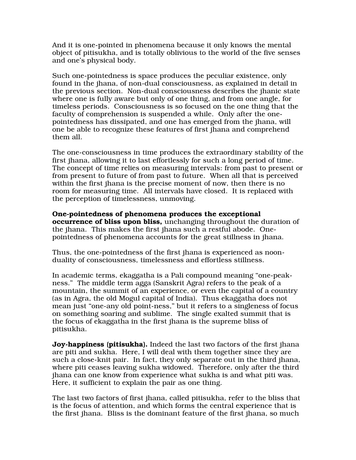And it is one-pointed in phenomena because it only knows the mental object of pitisukha, and is totally oblivious to the world of the five senses and one's physical body.

Such one-pointedness is space produces the peculiar existence, only found in the jhana, of non-dual consciousness, as explained in detail in the previous section. Non-dual consciousness describes the jhanic state where one is fully aware but only of one thing, and from one angle, for timeless periods. Consciousness is so focused on the one thing that the faculty of comprehension is suspended a while. Only after the onepointedness has dissipated, and one has emerged from the jhana, will one be able to recognize these features of first jhana and comprehend them all.

The one-consciousness in time produces the extraordinary stability of the first jhana, allowing it to last effortlessly for such a long period of time. The concept of time relies on measuring intervals: from past to present or from present to future of from past to future. When all that is perceived within the first jhana is the precise moment of now, then there is no room for measuring time. All intervals have closed. It is replaced with the perception of timelessness, unmoving.

One-pointedness of phenomena produces the exceptional occurrence of bliss upon bliss, unchanging throughout the duration of the jhana. This makes the first jhana such a restful abode. Onepointedness of phenomena accounts for the great stillness in jhana.

Thus, the one-pointedness of the first jhana is experienced as noonduality of consciousness, timelessness and effortless stillness.

In academic terms, ekaggatha is a Pali compound meaning "one-peakness." The middle term agga (Sanskrit Agra) refers to the peak of a mountain, the summit of an experience, or even the capital of a country (as in Agra, the old Mogul capital of India). Thus ekaggatha does not mean just "one-any old point-ness," but it refers to a singleness of focus on something soaring and sublime. The single exalted summit that is the focus of ekaggatha in the first jhana is the supreme bliss of pitisukha.

**Joy-happiness (pitisukha).** Indeed the last two factors of the first jhana are piti and sukha. Here, I will deal with them together since they are such a close-knit pair. In fact, they only separate out in the third jhana, where piti ceases leaving sukha widowed. Therefore, only after the third jhana can one know from experience what sukha is and what piti was. Here, it sufficient to explain the pair as one thing.

The last two factors of first jhana, called pitisukha, refer to the bliss that is the focus of attention, and which forms the central experience that is the first jhana. Bliss is the dominant feature of the first jhana, so much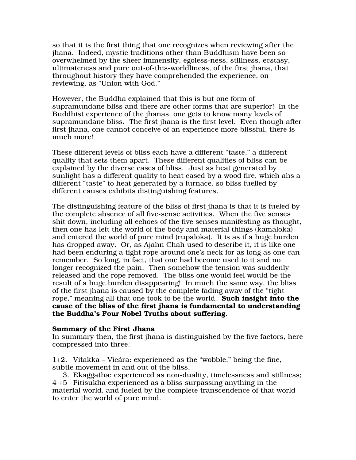so that it is the first thing that one recognizes when reviewing after the jhana. Indeed, mystic traditions other than Buddhism have been so overwhelmed by the sheer immensity, egoless-ness, stillness, ecstasy, ultimateness and pure out-of-this-worldliness, of the first jhana, that throughout history they have comprehended the experience, on reviewing, as "Union with God."

However, the Buddha explained that this is but one form of supramundane bliss and there are other forms that are superior! In the Buddhist experience of the jhanas, one gets to know many levels of supramundane bliss. The first jhana is the first level. Even though after first jhana, one cannot conceive of an experience more blissful, there is much more!

These different levels of bliss each have a different "taste," a different quality that sets them apart. These different qualities of bliss can be explained by the diverse cases of bliss. Just as heat generated by sunlight has a different quality to heat cased by a wood fire, which ahs a different "taste" to heat generated by a furnace, so bliss fuelled by different causes exhibits distinguishing features.

The distinguishing feature of the bliss of first jhana is that it is fueled by the complete absence of all five-sense activities. When the five senses shit down, including all echoes of the five senses manifesting as thought, then one has left the world of the body and material things (kamaloka) and entered the world of pure mind (rupaloka). It is as if a huge burden has dropped away. Or, as Ajahn Chah used to describe it, it is like one had been enduring a tight rope around one's neck for as long as one can remember. So long, in fact, that one had become used to it and no longer recognized the pain. Then somehow the tension was suddenly released and the rope removed. The bliss one would feel would be the result of a huge burden disappearing! In much the same way, the bliss of the first jhana is caused by the complete fading away of the "tight rope," meaning all that one took to be the world. Such insight into the cause of the bliss of the first jhana is fundamental to understanding the Buddha's Four Nobel Truths about suffering.

# Summary of the First Jhana

In summary then, the first jhana is distinguished by the five factors, here compressed into three:

1+2. Vitakka – Vicára: experienced as the "wobble," being the fine, subtle movement in and out of the bliss;

3. Ekaggatha: experienced as non-duality, timelessness and stillness; 4 +5 Pitisukha experienced as a bliss surpassing anything in the material world, and fueled by the complete transcendence of that world to enter the world of pure mind.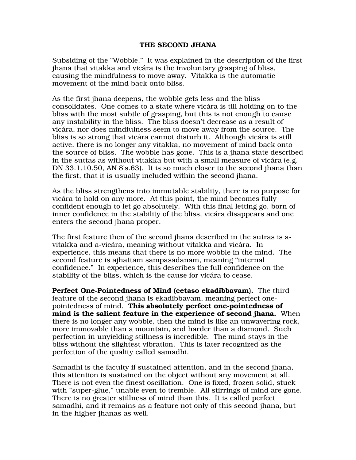#### THE SECOND JHANA

Subsiding of the "Wobble." It was explained in the description of the first jhana that vitakka and vicára is the involuntary grasping of bliss, causing the mindfulness to move away. Vitakka is the automatic movement of the mind back onto bliss.

As the first jhana deepens, the wobble gets less and the bliss consolidates. One comes to a state where vicára is till holding on to the bliss with the most subtle of grasping, but this is not enough to cause any instability in the bliss. The bliss doesn't decrease as a result of vicára, nor does mindfulness seem to move away from the source. The bliss is so strong that vicára cannot disturb it. Although vicára is still active, there is no longer any vitakka, no movement of mind back onto the source of bliss. The wobble has gone. This is a jhana state described in the suttas as without vitakka but with a small measure of vicára (e.g. DN 33.1.10.50, AN 8's.63). It is so much closer to the second jhana than the first, that it is usually included within the second jhana.

As the bliss strengthens into immutable stability, there is no purpose for vicára to hold on any more. At this point, the mind becomes fully confident enough to let go absolutely. With this final letting go, born of inner confidence in the stability of the bliss, vicára disappears and one enters the second jhana proper.

The first feature then of the second jhana described in the sutras is avitakka and a-vicára, meaning without vitakka and vicára. In experience, this means that there is no more wobble in the mind. The second feature is ajhattam sampasadanam, meaning "internal confidence." In experience, this describes the full confidence on the stability of the bliss, which is the cause for vicára to cease.

Perfect One-Pointedness of Mind (cetaso ekadibbavam). The third feature of the second jhana is ekadibbavam, meaning perfect onepointedness of mind. This absolutely perfect one-pointedness of mind is the salient feature in the experience of second jhana. When there is no longer any wobble, then the mind is like an unwavering rock, more immovable than a mountain, and harder than a diamond. Such perfection in unyielding stillness is incredible. The mind stays in the bliss without the slightest vibration. This is later recognized as the perfection of the quality called samadhi.

Samadhi is the faculty if sustained attention, and in the second jhana, this attention is sustained on the object without any movement at all. There is not even the finest oscillation. One is fixed, frozen solid, stuck with "super-glue," unable even to tremble. All stirrings of mind are gone. There is no greater stillness of mind than this. It is called perfect samadhi, and it remains as a feature not only of this second jhana, but in the higher jhanas as well.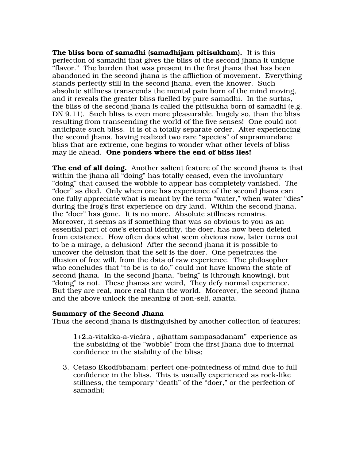The bliss born of samadhi (samadhijam pitisukham). It is this perfection of samadhi that gives the bliss of the second jhana it unique "flavor." The burden that was present in the first jhana that has been abandoned in the second jhana is the affliction of movement. Everything stands perfectly still in the second jhana, even the knower. Such absolute stillness transcends the mental pain born of the mind moving, and it reveals the greater bliss fuelled by pure samadhi. In the suttas, the bliss of the second jhana is called the pitisukha born of samadhi (e.g. DN 9.11). Such bliss is even more pleasurable, hugely so, than the bliss resulting from transcending the world of the five senses! One could not anticipate such bliss. It is of a totally separate order. After experiencing the second jhana, having realized two rare "species" of supramundane bliss that are extreme, one begins to wonder what other levels of bliss may lie ahead. One ponders where the end of bliss lies!

**The end of all doing.** Another salient feature of the second jhana is that within the jhana all "doing" has totally ceased, even the involuntary "doing" that caused the wobble to appear has completely vanished. The "doer" as died. Only when one has experience of the second jhana can one fully appreciate what is meant by the term "water," when water "dies" during the frog's first experience on dry land. Within the second jhana, the "doer" has gone. It is no more. Absolute stillness remains. Moreover, it seems as if something that was so obvious to you as an essential part of one's eternal identity, the doer, has now been deleted from existence. How often does what seem obvious now, later turns out to be a mirage, a delusion! After the second jhana it is possible to uncover the delusion that the self is the doer. One penetrates the illusion of free will, from the data of raw experience. The philosopher who concludes that "to be is to do," could not have known the state of second jhana. In the second jhana, "being" is (through knowing), but "doing" is not. These jhanas are weird, They defy normal experience. But they are real, more real than the world. Moreover, the second jhana and the above unlock the meaning of non-self, anatta.

# Summary of the Second Jhana

Thus the second jhana is distinguished by another collection of features:

1+2.a-vitakka-a-vicára , ajhattam sampasadanam" experience as the subsiding of the "wobble" from the first jhana due to internal confidence in the stability of the bliss;

3. Cetaso Ekodibbanam: perfect one-pointedness of mind due to full confidence in the bliss. This is usually experienced as rock-like stillness, the temporary "death" of the "doer," or the perfection of samadhi;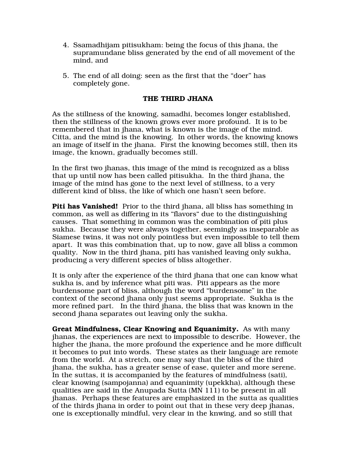- 4. Ssamadhijam pitisukham: being the focus of this jhana, the supramundane bliss generated by the end of all movement of the mind, and
- 5. The end of all doing: seen as the first that the "doer" has completely gone.

# THE THIRD JHANA

As the stillness of the knowing, samadhi, becomes longer established, then the stillness of the known grows ever more profound. It is to be remembered that in jhana, what is known is the image of the mind. Citta, and the mind is the knowing. In other words, the knowing knows an image of itself in the jhana. First the knowing becomes still, then its image, the known, gradually becomes still.

In the first two jhanas, this image of the mind is recognized as a bliss that up until now has been called pitisukha. In the third jhana, the image of the mind has gone to the next level of stillness, to a very different kind of bliss, the like of which one hasn't seen before.

**Piti has Vanished!** Prior to the third jhana, all bliss has something in common, as well as differing in its "flavors" due to the distinguishing causes. That something in common was the combination of piti plus sukha. Because they were always together, seemingly as inseparable as Siamese twins, it was not only pointless but even impossible to tell them apart. It was this combination that, up to now, gave all bliss a common quality. Now in the third jhana, piti has vanished leaving only sukha, producing a very different species of bliss altogether.

It is only after the experience of the third jhana that one can know what sukha is, and by inference what piti was. Piti appears as the more burdensome part of bliss, although the word "burdensome" in the context of the second jhana only just seems appropriate. Sukha is the more refined part. In the third jhana, the bliss that was known in the second jhana separates out leaving only the sukha.

Great Mindfulness, Clear Knowing and Equanimity. As with many jhanas, the experiences are next to impossible to describe. However, the higher the jhana, the more profound the experience and he more difficult it becomes to put into words. These states as their language are remote from the world. At a stretch, one may say that the bliss of the third jhana, the sukha, has a greater sense of ease, quieter and more serene. In the suttas, it is accompanied by the features of mindfulness (sati), clear knowing (sampojanna) and equanimity (upekkha), although these qualities are said in the Anupada Sutta (MN 111) to be present in all jhanas. Perhaps these features are emphasized in the sutta as qualities of the thirds jhana in order to point out that in these very deep jhanas, one is exceptionally mindful, very clear in the knwing, and so still that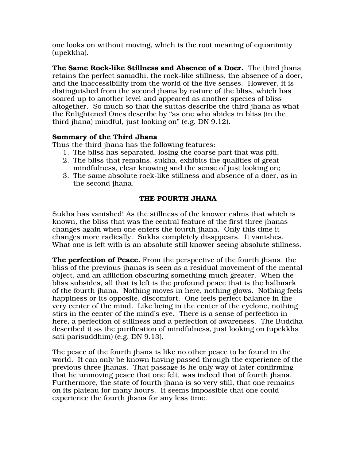one looks on without moving, which is the root meaning of equanimity (upekkha).

The Same Rock-like Stillness and Absence of a Doer. The third jhana retains the perfect samadhi, the rock-like stillness, the absence of a doer, and the inaccessibility from the world of the five senses. However, it is distinguished from the second jhana by nature of the bliss, which has soared up to another level and appeared as another species of bliss altogether. So much so that the suttas describe the third jhana as what the Enlightened Ones describe by "as one who abides in bliss (in the third jhana) mindful, just looking on" (e.g. DN 9.12).

# Summary of the Third Jhana

Thus the third jhana has the following features:

- 1. The bliss has separated, losing the coarse part that was piti;
- 2. The bliss that remains, sukha, exhibits the qualities of great mindfulness, clear knowing and the sense of just looking on;
- 3. The same absolute rock-like stillness and absence of a doer, as in the second jhana.

# THE FOURTH JHANA

Sukha has vanished! As the stillness of the knower calms that which is known, the bliss that was the central feature of the first three jhanas changes again when one enters the fourth jhana. Only this time it changes more radically. Sukha completely disappears. It vanishes. What one is left with is an absolute still knower seeing absolute stillness.

**The perfection of Peace.** From the perspective of the fourth jhana, the bliss of the previous jhanas is seen as a residual movement of the mental object, and an affliction obscuring something much greater. When the bliss subsides, all that is left is the profound peace that is the hallmark of the fourth jhana. Nothing moves in here, nothing glows. Nothing feels happiness or its opposite, discomfort. One feels perfect balance in the very center of the mind. Like being in the center of the cyclone, nothing stirs in the center of the mind's eye. There is a sense of perfection in here, a perfection of stillness and a perfection of awareness. The Buddha described it as the purification of mindfulness, just looking on (upekkha sati parisuddhim) (e.g. DN 9.13).

The peace of the fourth jhana is like no other peace to be found in the world. It can only be known having passed through the experience of the previous three jhanas. That passage is he only way of later confirming that he unmoving peace that one felt, was indeed that of fourth jhana. Furthermore, the state of fourth jhana is so very still, that one remains on its plateau for many hours. It seems impossible that one could experience the fourth jhana for any less time.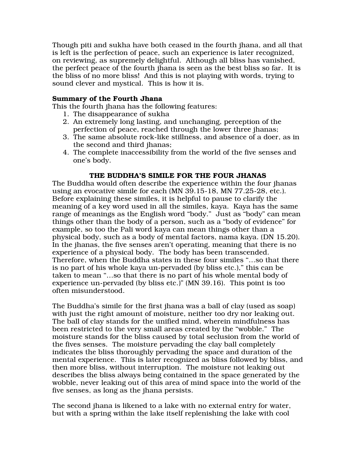Though piti and sukha have both ceased in the fourth jhana, and all that is left is the perfection of peace, such an experience is later recognized, on reviewing, as supremely delightful. Although all bliss has vanished, the perfect peace of the fourth jhana is seen as the best bliss so far. It is the bliss of no more bliss! And this is not playing with words, trying to sound clever and mystical. This is how it is.

# Summary of the Fourth Jhana

This the fourth jhana has the following features:

- 1. The disappearance of sukha
- 2. An extremely long lasting, and unchanging, perception of the perfection of peace, reached through the lower three jhanas;
- 3. The same absolute rock-like stillness, and absence of a doer, as in the second and third jhanas;
- 4. The complete inaccessibility from the world of the five senses and one's body.

# THE BUDDHA'S SIMILE FOR THE FOUR JHANAS

The Buddha would often describe the experience within the four jhanas using an evocative simile for each (MN 39.15-18, MN 77.25-28, etc.). Before explaining these similes, it is helpful to pause to clarify the meaning of a key word used in all the similes, kaya. Kaya has the same range of meanings as the English word "body." Just as "body" can mean things other than the body of a person, such as a "body of evidence" for example, so too the Pali word kaya can mean things other than a physical body, such as a body of mental factors, nama kaya. (DN 15.20). In the jhanas, the five senses aren't operating, meaning that there is no experience of a physical body. The body has been transcended. Therefore, when the Buddha states in these four similes "…so that there is no part of his whole kaya un-pervaded (by bliss etc.)," this can be taken to mean "…so that there is no part of his whole mental body of experience un-pervaded (by bliss etc.)" (MN 39.16). This point is too often misunderstood.

The Buddha's simile for the first jhana was a ball of clay (used as soap) with just the right amount of moisture, neither too dry nor leaking out. The ball of clay stands for the unified mind, wherein mindfulness has been restricted to the very small areas created by the "wobble." The moisture stands for the bliss caused by total seclusion from the world of the fives senses. The moisture pervading the clay ball completely indicates the bliss thoroughly pervading the space and duration of the mental experience. This is later recognized as bliss followed by bliss, and then more bliss, without interruption. The moisture not leaking out describes the bliss always being contained in the space generated by the wobble, never leaking out of this area of mind space into the world of the five senses, as long as the jhana persists.

The second jhana is likened to a lake with no external entry for water, but with a spring within the lake itself replenishing the lake with cool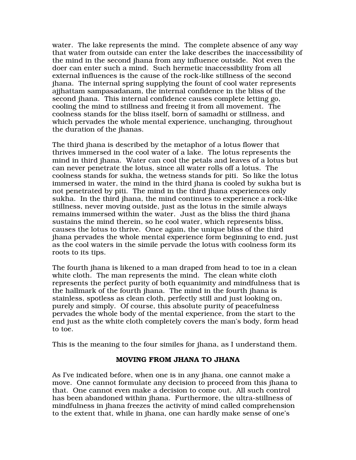water. The lake represents the mind. The complete absence of any way that water from outside can enter the lake describes the inaccessibility of the mind in the second jhana from any influence outside. Not even the doer can enter such a mind. Such hermetic inaccessibility from all external influences is the cause of the rock-like stillness of the second jhana. The internal spring supplying the fount of cool water represents ajjhattam sampasadanam, the internal confidence in the bliss of the second jhana. This internal confidence causes complete letting go, cooling the mind to stillness and freeing it from all movement. The coolness stands for the bliss itself, born of samadhi or stillness, and which pervades the whole mental experience, unchanging, throughout the duration of the jhanas.

The third jhana is described by the metaphor of a lotus flower that thrives immersed in the cool water of a lake. The lotus represents the mind in third jhana. Water can cool the petals and leaves of a lotus but can never penetrate the lotus, since all water rolls off a lotus. The coolness stands for sukha, the wetness stands for piti. So like the lotus immersed in water, the mind in the third jhana is cooled by sukha but is not penetrated by piti. The mind in the third jhana experiences only sukha. In the third jhana, the mind continues to experience a rock-like stillness, never moving outside, just as the lotus in the simile always remains immersed within the water. Just as the bliss the third jhana sustains the mind therein, so he cool water, which represents bliss, causes the lotus to thrive. Once again, the unique bliss of the third jhana pervades the whole mental experience form beginning to end, just as the cool waters in the simile pervade the lotus with coolness form its roots to its tips.

The fourth jhana is likened to a man draped from head to toe in a clean white cloth. The man represents the mind. The clean white cloth represents the perfect purity of both equanimity and mindfulness that is the hallmark of the fourth jhana. The mind in the fourth jhana is stainless, spotless as clean cloth, perfectly still and just looking on, purely and simply. Of course, this absolute purity of peacefulness pervades the whole body of the mental experience, from the start to the end just as the white cloth completely covers the man's body, form head to toe.

This is the meaning to the four similes for jhana, as I understand them.

# MOVING FROM JHANA TO JHANA

As I've indicated before, when one is in any jhana, one cannot make a move. One cannot formulate any decision to proceed from this jhana to that. One cannot even make a decision to come out. All such control has been abandoned within jhana. Furthermore, the ultra-stillness of mindfulness in jhana freezes the activity of mind called comprehension to the extent that, while in jhana, one can hardly make sense of one's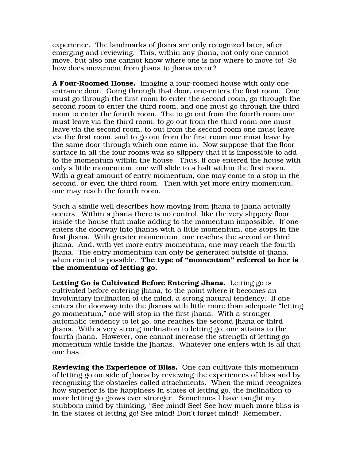experience. The landmarks of jhana are only recognized later, after emerging and reviewing. This, within any jhana, not only one cannot move, but also one cannot know where one is nor where to move to! So how does movement from jhana to jhana occur?

A Four-Roomed House. Imagine a four-roomed house with only one entrance door. Going through that door, one-enters the first room. One must go through the first room to enter the second room, go through the second room to enter the third room, and one must go through the third room to enter the fourth room. The to go out from the fourth room one must leave via the third room, to go out from the third room one must leave via the second room, to out from the second room one must leave via the first room, and to go out from the first room one must leave by the same door through which one came in. Now suppose that the floor surface in all the four rooms was so slippery that it is impossible to add to the momentum within the house. Thus, if one entered the house with only a little momentum, one will slide to a halt within the first room. With a great amount of entry momentum, one may come to a stop in the second, or even the third room. Then with yet more entry momentum, one may reach the fourth room.

Such a simile well describes how moving from jhana to jhana actually occurs. Within a jhana there is no control, like the very slippery floor inside the house that make adding to the momentum impossible. If one enters the doorway into jhanas with a little momentum, one stops in the first jhana. With greater momentum, one reaches the second or third jhana. And, with yet more entry momentum, one may reach the fourth jhana. The entry momentum can only be generated outside of jhana, when control is possible. The type of "momentum" referred to her is the momentum of letting go.

Letting Go is Cultivated Before Entering Jhana. Letting go is cultivated before entering jhana, to the point where it becomes an involuntary inclination of the mind, a strong natural tendency. If one enters the doorway into the jhanas with little more than adequate "letting go momentum," one will stop in the first jhana. With a stronger automatic tendency to let go, one reaches the second jhana or third jhana. With a very strong inclination to letting go, one attains to the fourth jhana. However, one cannot increase the strength of letting go momentum while inside the jhanas. Whatever one enters with is all that one has.

**Reviewing the Experience of Bliss.** One can cultivate this momentum of letting go outside of jhana by reviewing the experiences of bliss and by recognizing the obstacles called attachments. When the mind recognizes how superior is the happiness in states of letting go, the inclination to more letting go grows ever stronger. Sometimes I have taught my stubborn mind by thinking, "See mind! See! See how much more bliss is in the states of letting go! See mind! Don't forget mind! Remember,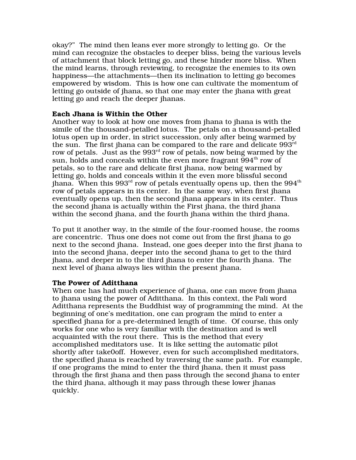okay?" The mind then leans ever more strongly to letting go. Or the mind can recognize the obstacles to deeper bliss, being the various levels of attachment that block letting go, and these hinder more bliss. When the mind learns, through reviewing, to recognize the enemies to its own happiness—the attachments—then its inclination to letting go becomes empowered by wisdom. This is how one can cultivate the momentum of letting go outside of jhana, so that one may enter the jhana with great letting go and reach the deeper jhanas.

# Each Jhana is Within the Other

Another way to look at how one moves from jhana to jhana is with the simile of the thousand-petalled lotus. The petals on a thousand-petalled lotus open up in order, in strict succession, only after being warmed by the sun. The first jhana can be compared to the rare and delicate 993<sup>rd</sup> row of petals. Just as the 993<sup>rd</sup> row of petals, now being warmed by the sun, holds and conceals within the even more fragrant  $\bar{9}94^{\text{th}}$  row of petals, so to the rare and delicate first jhana, now being warmed by letting go, holds and conceals within it the even more blissful second jhana. When this  $993<sup>rd</sup>$  row of petals eventually opens up, then the  $994<sup>th</sup>$ row of petals appears in its center. In the same way, when first jhana eventually opens up, then the second jhana appears in its center. Thus the second jhana is actually within the First jhana, the third jhana within the second jhana, and the fourth jhana within the third jhana.

To put it another way, in the simile of the four-roomed house, the rooms are concentric. Thus one does not come out from the first jhana to go next to the second jhana. Instead, one goes deeper into the first jhana to into the second jhana, deeper into the second jhana to get to the third jhana, and deeper in to the third jhana to enter the fourth jhana. The next level of jhana always lies within the present jhana.

# The Power of Aditthana

When one has had much experience of jhana, one can move from jhana to jhana using the power of Aditthana. In this context, the Pali word Aditthana represents the Buddhist way of programming the mind. At the beginning of one's meditation, one can program the mind to enter a specified jhana for a pre-determined length of time. Of course, this only works for one who is very familiar with the destination and is well acquainted with the rout there. This is the method that every accomplished meditators use. It is like setting the automatic pilot shortly after take0off. However, even for such accomplished meditators, the specified jhana is reached by traversing the same path. For example, if one programs the mind to enter the third jhana, then it must pass through the first jhana and then pass through the second jhana to enter the third jhana, although it may pass through these lower jhanas quickly.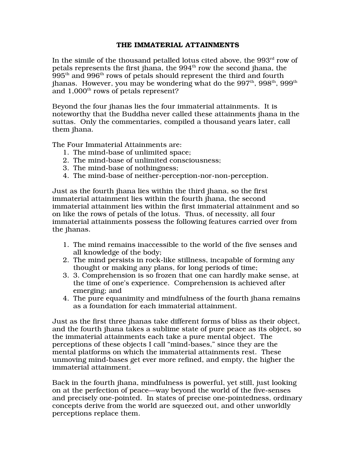# THE IMMATERIAL ATTAINMENTS

In the simile of the thousand petalled lotus cited above, the 993<sup>rd</sup> row of petals represents the first jhana, the  $994<sup>th</sup>$  row the second jhana, the  $995<sup>th</sup>$  and  $996<sup>th</sup>$  rows of petals should represent the third and fourth jhanas. However, you may be wondering what do the  $997<sup>th</sup>$ ,  $998<sup>th</sup>$ ,  $999<sup>th</sup>$ and  $1,000^{\text{th}}$  rows of petals represent?

Beyond the four jhanas lies the four immaterial attainments. It is noteworthy that the Buddha never called these attainments jhana in the suttas. Only the commentaries, compiled a thousand years later, call them jhana.

The Four Immaterial Attainments are:

- 1. The mind-base of unlimited space;
- 2. The mind-base of unlimited consciousness;
- 3. The mind-base of nothingness;
- 4. The mind-base of neither-perception-nor-non-perception.

Just as the fourth jhana lies within the third jhana, so the first immaterial attainment lies within the fourth jhana, the second immaterial attainment lies within the first immaterial attainment and so on like the rows of petals of the lotus. Thus, of necessity, all four immaterial attainments possess the following features carried over from the jhanas.

- 1. The mind remains inaccessible to the world of the five senses and all knowledge of the body;
- 2. The mind persists in rock-like stillness, incapable of forming any thought or making any plans, for long periods of time;
- 3. 3. Comprehension is so frozen that one can hardly make sense, at the time of one's experience. Comprehension is achieved after emerging; and
- 4. The pure equanimity and mindfulness of the fourth jhana remains as a foundation for each immaterial attainment.

Just as the first three jhanas take different forms of bliss as their object, and the fourth jhana takes a sublime state of pure peace as its object, so the immaterial attainments each take a pure mental object. The perceptions of these objects I call "mind-bases," since they are the mental platforms on which the immaterial attainments rest. These unmoving mind-bases get ever more refined, and empty, the higher the immaterial attainment.

Back in the fourth jhana, mindfulness is powerful, yet still, just looking on at the perfection of peace—way beyond the world of the five-senses and precisely one-pointed. In states of precise one-pointedness, ordinary concepts derive from the world are squeezed out, and other unworldly perceptions replace them.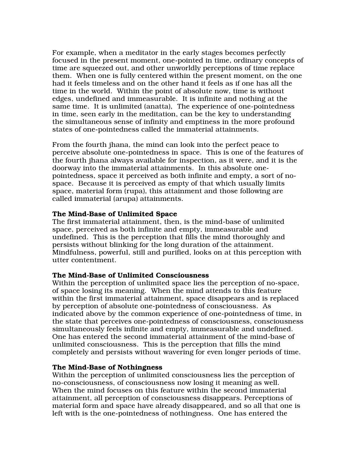For example, when a meditator in the early stages becomes perfectly focused in the present moment, one-pointed in time, ordinary concepts of time are squeezed out, and other unworldly perceptions of time replace them. When one is fully centered within the present moment, on the one had it feels timeless and on the other hand it feels as if one has all the time in the world. Within the point of absolute now, time is without edges, undefined and immeasurable. It is infinite and nothing at the same time. It is unlimited (anatta), The experience of one-pointedness in time, seen early in the meditation, can be the key to understanding the simultaneous sense of infinity and emptiness in the more profound states of one-pointedness called the immaterial attainments.

From the fourth jhana, the mind can look into the perfect peace to perceive absolute one-pointedness in space. This is one of the features of the fourth jhana always available for inspection, as it were, and it is the doorway into the immaterial attainments. In this absolute onepointedness, space it perceived as both infinite and empty, a sort of nospace. Because it is perceived as empty of that which usually limits space, material form (rupa), this attainment and those following are called immaterial (arupa) attainments.

# The Mind-Base of Unlimited Space

The first immaterial attainment, then, is the mind-base of unlimited space, perceived as both infinite and empty, immeasurable and undefined. This is the perception that fills the mind thoroughly and persists without blinking for the long duration of the attainment. Mindfulness, powerful, still and purified, looks on at this perception with utter contentment.

# The Mind-Base of Unlimited Consciousness

Within the perception of unlimited space lies the perception of no-space, of space losing its meaning. When the mind attends to this feature within the first immaterial attainment, space disappears and is replaced by perception of absolute one-pointedness of consciousness. As indicated above by the common experience of one-pointedness of time, in the state that perceives one-pointedness of consciousness, consciousness simultaneously feels infinite and empty, immeasurable and undefined. One has entered the second immaterial attainment of the mind-base of unlimited consciousness. This is the perception that fills the mind completely and persists without wavering for even longer periods of time.

# The Mind-Base of Nothingness

Within the perception of unlimited consciousness lies the perception of no-consciousness, of consciousness now losing it meaning as well. When the mind focuses on this feature within the second immaterial attainment, all perception of consciousness disappears. Perceptions of material form and space have already disappeared, and so all that one is left with is the one-pointedness of nothingness. One has entered the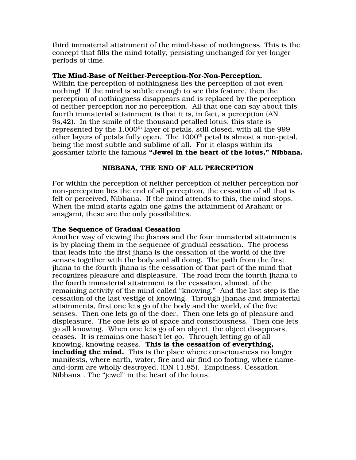third immaterial attainment of the mind-base of nothingness. This is the concept that fills the mind totally, persisting unchanged for yet longer periods of time.

## The Mind-Base of Neither-Perception-Nor-Non-Perception.

Within the perception of nothingness lies the perception of not even nothing! If the mind is subtle enough to see this feature, then the perception of nothingness disappears and is replaced by the perception of neither perception nor no perception. All that one can say about this fourth immaterial attainment is that it is, in fact, a perception (AN 9s,42). In the simile of the thousand petalled lotus, this state is represented by the  $1,000<sup>th</sup>$  layer of petals, still closed, with all the 999 other layers of petals fully open. The  $1000<sup>th</sup>$  petal is almost a non-petal, being the most subtle and sublime of all. For it clasps within its gossamer fabric the famous "Jewel in the heart of the lotus," Nibbana.

# NIBBANA, THE END OF ALL PERCEPTION

For within the perception of neither perception of neither perception nor non-perception lies the end of all perception, the cessation of all that is felt or perceived, Nibbana. If the mind attends to this, the mind stops. When the mind starts again one gains the attainment of Arahant or anagami, these are the only possibilities.

### The Sequence of Gradual Cessation

Another way of viewing the jhanas and the four immaterial attainments is by placing them in the sequence of gradual cessation. The process that leads into the first jhana is the cessation of the world of the five senses together with the body and all doing. The path from the first jhana to the fourth jhana is the cessation of that part of the mind that recognizes pleasure and displeasure. The road from the fourth jhana to the fourth immaterial attainment is the cessation, almost, of the remaining activity of the mind called "knowing." And the last step is the cessation of the last vestige of knowing. Through jhanas and immaterial attainments, first one lets go of the body and the world, of the five senses. Then one lets go of the doer. Then one lets go of pleasure and displeasure. The one lets go of space and consciousness. Then one lets go all knowing. When one lets go of an object, the object disappears, ceases. It is remains one hasn't let go. Through letting go of all knowing, knowing ceases. This is the cessation of everything, **including the mind.** This is the place where consciousness no longer manifests, where earth, water, fire and air find no footing, where nameand-form are wholly destroyed, (DN 11,85). Emptiness. Cessation. Nibbana . The "jewel" in the heart of the lotus.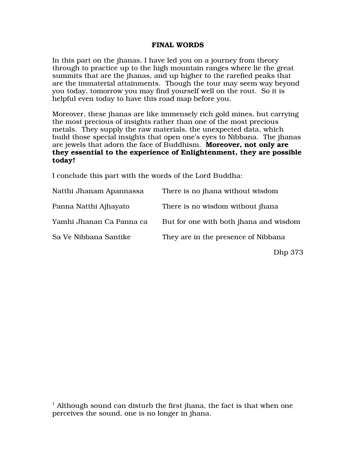### FINAL WORDS

In this part on the jhanas, I have led you on a journey from theory through to practice up to the high mountain ranges where lie the great summits that are the jhanas, and up higher to the rarefied peaks that are the immaterial attainments. Though the tour may seem way beyond you today, tomorrow you may find yourself well on the rout. So it is helpful even today to have this road map before you.

Moreover, these jhanas are like immensely rich gold mines, but carrying the most precious of insights rather than one of the most precious metals. They supply the raw materials, the unexpected data, which build those special insights that open one's eyes to Nibbana. The jhanas are jewels that adorn the face of Buddhism. Moreover, not only are they essential to the experience of Enlightenment, they are possible today!

I conclude this part with the words of the Lord Buddha:

| Natthi Jhanam Apannassa  | There is no jhana without wisdom       |
|--------------------------|----------------------------------------|
| Panna Natthi Ajhayato    | There is no wisdom without jhana       |
| Yamhi Jhanan Ca Panna ca | But for one with both jhana and wisdom |
| Sa Ve Nibbana Santike    | They are in the presence of Nibbana    |
|                          |                                        |

Dhp 373

 $^{\rm 1}$  Although sound can disturb the first jhana, the fact is that when one perceives the sound, one is no longer in jhana.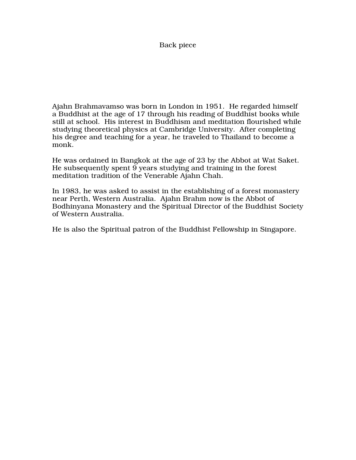# Back piece

Ajahn Brahmavamso was born in London in 1951. He regarded himself a Buddhist at the age of 17 through his reading of Buddhist books while still at school. His interest in Buddhism and meditation flourished while studying theoretical physics at Cambridge University. After completing his degree and teaching for a year, he traveled to Thailand to become a monk.

He was ordained in Bangkok at the age of 23 by the Abbot at Wat Saket. He subsequently spent  $\overline{9}$  years studying and training in the forest meditation tradition of the Venerable Ajahn Chah.

In 1983, he was asked to assist in the establishing of a forest monastery near Perth, Western Australia. Ajahn Brahm now is the Abbot of Bodhinyana Monastery and the Spiritual Director of the Buddhist Society of Western Australia.

He is also the Spiritual patron of the Buddhist Fellowship in Singapore.